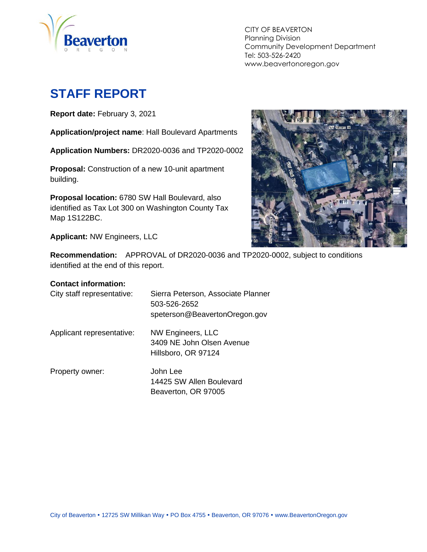

CITY OF BEAVERTON Planning Division Community Development Department Tel: 503-526-2420 www.beavertonoregon.gov

# <span id="page-0-0"></span>**STAFF REPORT**

**Report date:** February 3, 2021

**Application/project name**: Hall Boulevard Apartments

**Application Numbers:** DR2020-0036 and TP2020-0002

**Proposal:** Construction of a new 10-unit apartment building.

**Proposal location:** 6780 SW Hall Boulevard, also identified as Tax Lot 300 on Washington County Tax Map 1S122BC.

**Applicant:** NW Engineers, LLC



**Recommendation:** APPROVAL of DR2020-0036 and TP2020-0002, subject to conditions identified at the end of this report.

#### **Contact information:**

| City staff representative: | Sierra Peterson, Associate Planner<br>503-526-2652<br>speterson@BeavertonOregon.gov |
|----------------------------|-------------------------------------------------------------------------------------|
| Applicant representative:  | NW Engineers, LLC<br>3409 NE John Olsen Avenue<br>Hillsboro, OR 97124               |
| Property owner:            | John Lee<br>14425 SW Allen Boulevard<br>Beaverton, OR 97005                         |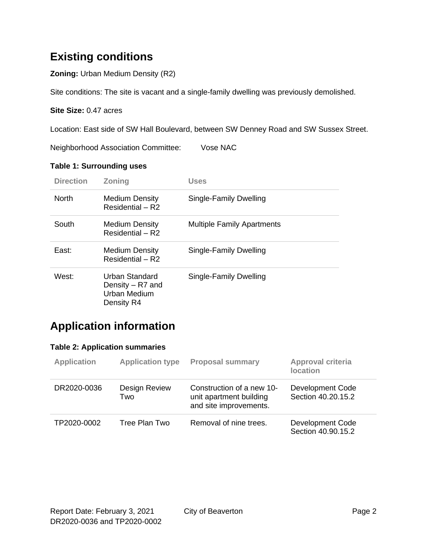## **Existing conditions**

**Zoning:** Urban Medium Density (R2)

Site conditions: The site is vacant and a single-family dwelling was previously demolished.

#### **Site Size:** 0.47 acres

Location: East side of SW Hall Boulevard, between SW Denney Road and SW Sussex Street.

Neighborhood Association Committee: Vose NAC

#### **Table 1: Surrounding uses**

| <b>Direction</b> | <b>Zoning</b>                                                           | Uses                              |
|------------------|-------------------------------------------------------------------------|-----------------------------------|
| <b>North</b>     | <b>Medium Density</b><br>Residential – R2                               | Single-Family Dwelling            |
| South            | <b>Medium Density</b><br>Residential - R2                               | <b>Multiple Family Apartments</b> |
| East:            | <b>Medium Density</b><br>Residential - R2                               | Single-Family Dwelling            |
| West:            | <b>Urban Standard</b><br>Density – R7 and<br>Urban Medium<br>Density R4 | Single-Family Dwelling            |

### **Application information**

#### **Table 2: Application summaries**

| <b>Application</b> | <b>Application type</b> | <b>Proposal summary</b>                                                        | Approval criteria<br><b>location</b>   |
|--------------------|-------------------------|--------------------------------------------------------------------------------|----------------------------------------|
| DR2020-0036        | Design Review<br>Two    | Construction of a new 10-<br>unit apartment building<br>and site improvements. | Development Code<br>Section 40.20.15.2 |
| TP2020-0002        | Tree Plan Two           | Removal of nine trees.                                                         | Development Code<br>Section 40.90.15.2 |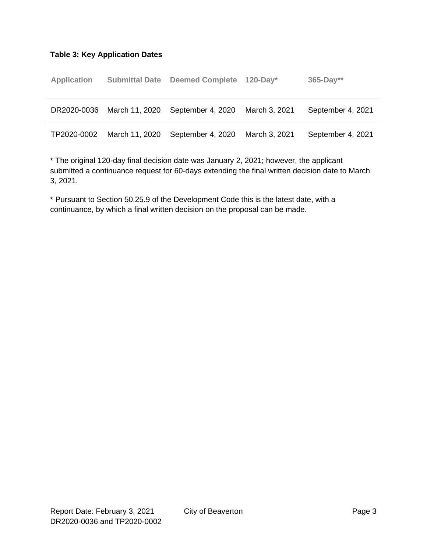#### **Table 3: Key Application Dates**

| <b>Application</b> |                | Submittal Date Deemed Complete 120-Day* |               | $365 - Day**$     |
|--------------------|----------------|-----------------------------------------|---------------|-------------------|
| DR2020-0036        | March 11, 2020 | September 4, 2020                       | March 3, 2021 | September 4, 2021 |
| TP2020-0002        | March 11, 2020 | September 4, 2020                       | March 3, 2021 | September 4, 2021 |

\* The original 120-day final decision date was January 2, 2021; however, the applicant submitted a continuance request for 60-days extending the final written decision date to March 3, 2021.

\* Pursuant to Section 50.25.9 of the Development Code this is the latest date, with a continuance, by which a final written decision on the proposal can be made.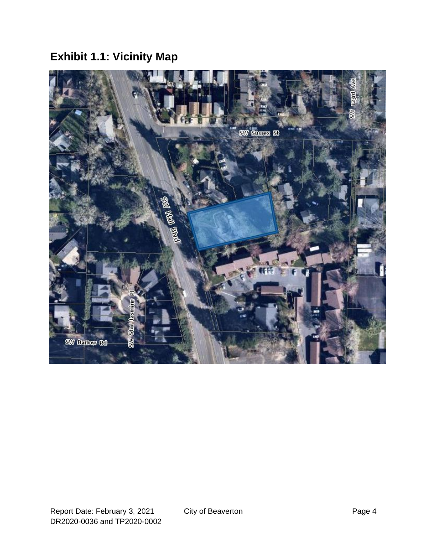# **Exhibit 1.1: Vicinity Map**

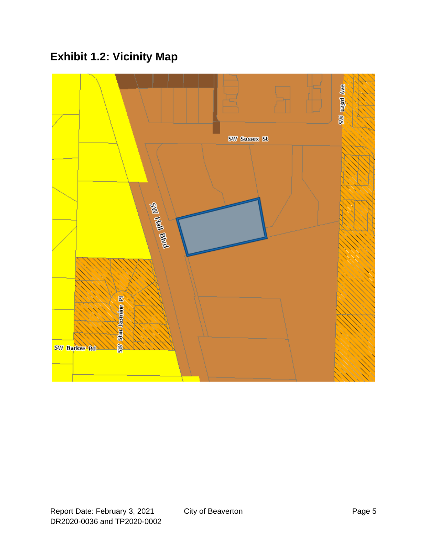# **Exhibit 1.2: Vicinity Map**

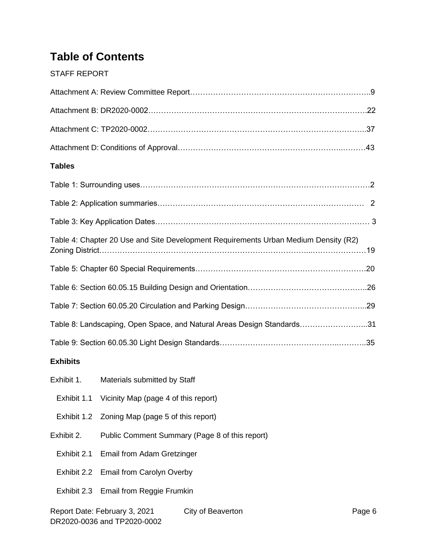## **Table of Contents**

#### [STAFF REPORT](#page-0-0)

| <b>Tables</b>                                                                       |
|-------------------------------------------------------------------------------------|
|                                                                                     |
|                                                                                     |
|                                                                                     |
| Table 4: Chapter 20 Use and Site Development Requirements Urban Medium Density (R2) |
|                                                                                     |
|                                                                                     |
|                                                                                     |
| Table 8: Landscaping, Open Space, and Natural Areas Design Standards31              |
|                                                                                     |
| <b>Exhibits</b>                                                                     |
| Exhibit 1.<br>Materials submitted by Staff                                          |
| Exhibit 1.1 Vicinity Map (page 4 of this report)                                    |

- Exhibit 1.2 Zoning Map (page 5 of this report)
- Exhibit 2. Public Comment Summary (Page 8 of this report)
	- Exhibit 2.1 Email from Adam Gretzinger
	- Exhibit 2.2 Email from Carolyn Overby
	- Exhibit 2.3 Email from Reggie Frumkin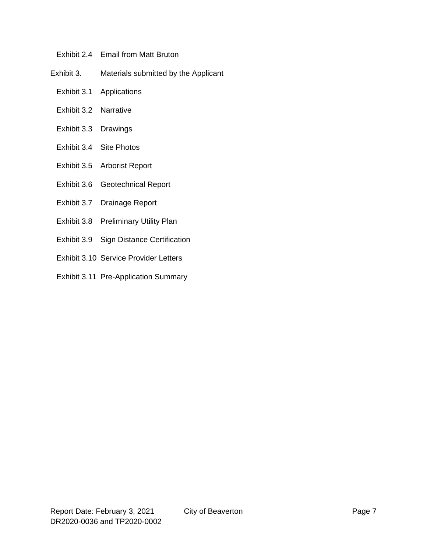- Exhibit 2.4 Email from Matt Bruton
- Exhibit 3. Materials submitted by the Applicant
	- Exhibit 3.1 Applications
	- Exhibit 3.2 Narrative
	- Exhibit 3.3 Drawings
	- Exhibit 3.4 Site Photos
	- Exhibit 3.5 Arborist Report
	- Exhibit 3.6 Geotechnical Report
	- Exhibit 3.7 Drainage Report
	- Exhibit 3.8 Preliminary Utility Plan
	- Exhibit 3.9 Sign Distance Certification
	- Exhibit 3.10 Service Provider Letters
	- Exhibit 3.11 Pre-Application Summary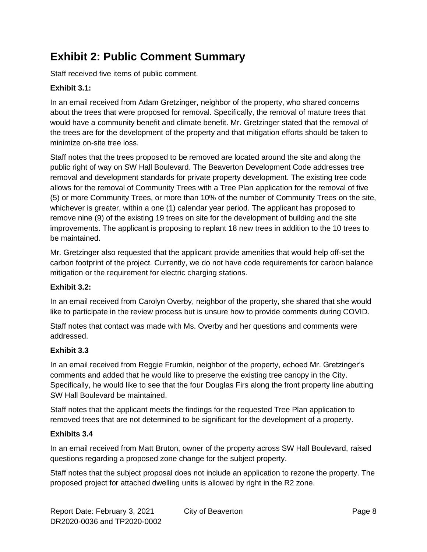## **Exhibit 2: Public Comment Summary**

Staff received five items of public comment.

#### **Exhibit 3.1:**

In an email received from Adam Gretzinger, neighbor of the property, who shared concerns about the trees that were proposed for removal. Specifically, the removal of mature trees that would have a community benefit and climate benefit. Mr. Gretzinger stated that the removal of the trees are for the development of the property and that mitigation efforts should be taken to minimize on-site tree loss.

Staff notes that the trees proposed to be removed are located around the site and along the public right of way on SW Hall Boulevard. The Beaverton Development Code addresses tree removal and development standards for private property development. The existing tree code allows for the removal of Community Trees with a Tree Plan application for the removal of five (5) or more Community Trees, or more than 10% of the number of Community Trees on the site, whichever is greater, within a one (1) calendar year period. The applicant has proposed to remove nine (9) of the existing 19 trees on site for the development of building and the site improvements. The applicant is proposing to replant 18 new trees in addition to the 10 trees to be maintained.

Mr. Gretzinger also requested that the applicant provide amenities that would help off-set the carbon footprint of the project. Currently, we do not have code requirements for carbon balance mitigation or the requirement for electric charging stations.

#### **Exhibit 3.2:**

In an email received from Carolyn Overby, neighbor of the property, she shared that she would like to participate in the review process but is unsure how to provide comments during COVID.

Staff notes that contact was made with Ms. Overby and her questions and comments were addressed.

#### **Exhibit 3.3**

In an email received from Reggie Frumkin, neighbor of the property, echoed Mr. Gretzinger's comments and added that he would like to preserve the existing tree canopy in the City. Specifically, he would like to see that the four Douglas Firs along the front property line abutting SW Hall Boulevard be maintained.

Staff notes that the applicant meets the findings for the requested Tree Plan application to removed trees that are not determined to be significant for the development of a property.

#### **Exhibits 3.4**

In an email received from Matt Bruton, owner of the property across SW Hall Boulevard, raised questions regarding a proposed zone change for the subject property.

Staff notes that the subject proposal does not include an application to rezone the property. The proposed project for attached dwelling units is allowed by right in the R2 zone.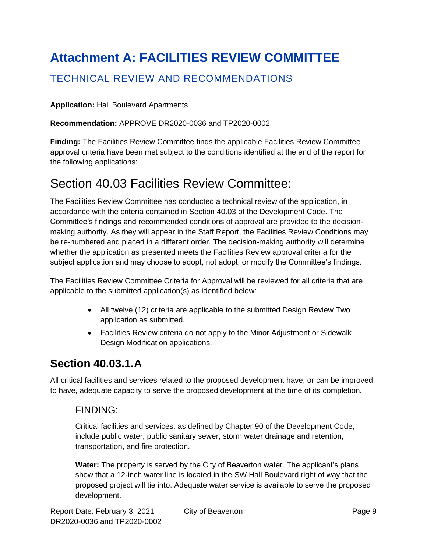# **Attachment A: FACILITIES REVIEW COMMITTEE**

### TECHNICAL REVIEW AND RECOMMENDATIONS

#### **Application:** Hall Boulevard Apartments

#### **Recommendation:** APPROVE DR2020-0036 and TP2020-0002

**Finding:** The Facilities Review Committee finds the applicable Facilities Review Committee approval criteria have been met subject to the conditions identified at the end of the report for the following applications:

## Section 40.03 Facilities Review Committee:

The Facilities Review Committee has conducted a technical review of the application, in accordance with the criteria contained in Section 40.03 of the Development Code. The Committee's findings and recommended conditions of approval are provided to the decisionmaking authority. As they will appear in the Staff Report, the Facilities Review Conditions may be re-numbered and placed in a different order. The decision-making authority will determine whether the application as presented meets the Facilities Review approval criteria for the subject application and may choose to adopt, not adopt, or modify the Committee's findings.

The Facilities Review Committee Criteria for Approval will be reviewed for all criteria that are applicable to the submitted application(s) as identified below:

- All twelve (12) criteria are applicable to the submitted Design Review Two application as submitted.
- Facilities Review criteria do not apply to the Minor Adjustment or Sidewalk Design Modification applications.

### **Section 40.03.1.A**

All critical facilities and services related to the proposed development have, or can be improved to have, adequate capacity to serve the proposed development at the time of its completion.

#### FINDING:

Critical facilities and services, as defined by Chapter 90 of the Development Code, include public water, public sanitary sewer, storm water drainage and retention, transportation, and fire protection.

**Water:** The property is served by the City of Beaverton water. The applicant's plans show that a 12-inch water line is located in the SW Hall Boulevard right of way that the proposed project will tie into. Adequate water service is available to serve the proposed development.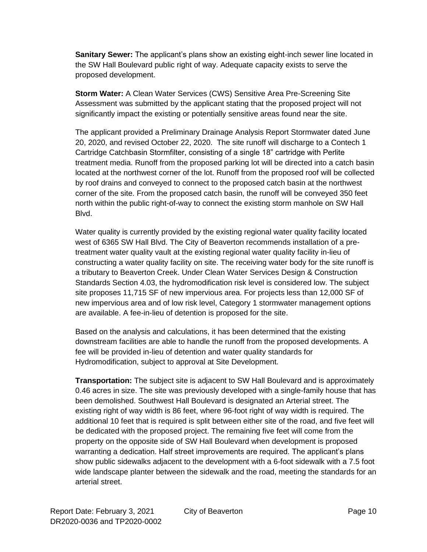**Sanitary Sewer:** The applicant's plans show an existing eight-inch sewer line located in the SW Hall Boulevard public right of way. Adequate capacity exists to serve the proposed development.

**Storm Water:** A Clean Water Services (CWS) Sensitive Area Pre-Screening Site Assessment was submitted by the applicant stating that the proposed project will not significantly impact the existing or potentially sensitive areas found near the site.

The applicant provided a Preliminary Drainage Analysis Report Stormwater dated June 20, 2020, and revised October 22, 2020. The site runoff will discharge to a Contech 1 Cartridge Catchbasin Stormfilter, consisting of a single 18" cartridge with Perlite treatment media. Runoff from the proposed parking lot will be directed into a catch basin located at the northwest corner of the lot. Runoff from the proposed roof will be collected by roof drains and conveyed to connect to the proposed catch basin at the northwest corner of the site. From the proposed catch basin, the runoff will be conveyed 350 feet north within the public right-of-way to connect the existing storm manhole on SW Hall Blvd.

Water quality is currently provided by the existing regional water quality facility located west of 6365 SW Hall Blvd. The City of Beaverton recommends installation of a pretreatment water quality vault at the existing regional water quality facility in-lieu of constructing a water quality facility on site. The receiving water body for the site runoff is a tributary to Beaverton Creek. Under Clean Water Services Design & Construction Standards Section 4.03, the hydromodification risk level is considered low. The subject site proposes 11,715 SF of new impervious area. For projects less than 12,000 SF of new impervious area and of low risk level, Category 1 stormwater management options are available. A fee-in-lieu of detention is proposed for the site.

Based on the analysis and calculations, it has been determined that the existing downstream facilities are able to handle the runoff from the proposed developments. A fee will be provided in-lieu of detention and water quality standards for Hydromodification, subject to approval at Site Development.

**Transportation:** The subject site is adjacent to SW Hall Boulevard and is approximately 0.46 acres in size. The site was previously developed with a single-family house that has been demolished. Southwest Hall Boulevard is designated an Arterial street. The existing right of way width is 86 feet, where 96-foot right of way width is required. The additional 10 feet that is required is split between either site of the road, and five feet will be dedicated with the proposed project. The remaining five feet will come from the property on the opposite side of SW Hall Boulevard when development is proposed warranting a dedication. Half street improvements are required. The applicant's plans show public sidewalks adjacent to the development with a 6-foot sidewalk with a 7.5 foot wide landscape planter between the sidewalk and the road, meeting the standards for an arterial street.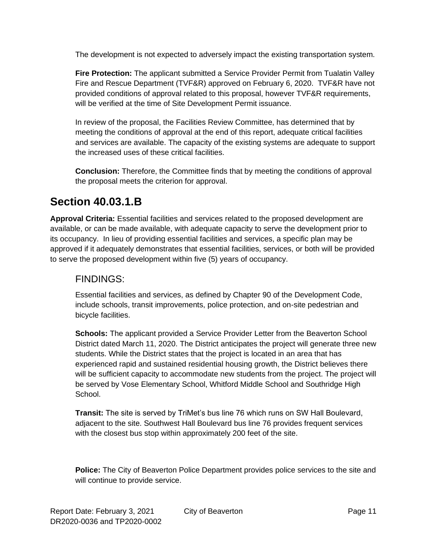The development is not expected to adversely impact the existing transportation system.

**Fire Protection:** The applicant submitted a Service Provider Permit from Tualatin Valley Fire and Rescue Department (TVF&R) approved on February 6, 2020. TVF&R have not provided conditions of approval related to this proposal, however TVF&R requirements, will be verified at the time of Site Development Permit issuance.

In review of the proposal, the Facilities Review Committee, has determined that by meeting the conditions of approval at the end of this report, adequate critical facilities and services are available. The capacity of the existing systems are adequate to support the increased uses of these critical facilities.

**Conclusion:** Therefore, the Committee finds that by meeting the conditions of approval the proposal meets the criterion for approval.

### **Section 40.03.1.B**

**Approval Criteria:** Essential facilities and services related to the proposed development are available, or can be made available, with adequate capacity to serve the development prior to its occupancy. In lieu of providing essential facilities and services, a specific plan may be approved if it adequately demonstrates that essential facilities, services, or both will be provided to serve the proposed development within five (5) years of occupancy.

### FINDINGS:

Essential facilities and services, as defined by Chapter 90 of the Development Code, include schools, transit improvements, police protection, and on-site pedestrian and bicycle facilities.

**Schools:** The applicant provided a Service Provider Letter from the Beaverton School District dated March 11, 2020. The District anticipates the project will generate three new students. While the District states that the project is located in an area that has experienced rapid and sustained residential housing growth, the District believes there will be sufficient capacity to accommodate new students from the project. The project will be served by Vose Elementary School, Whitford Middle School and Southridge High School.

**Transit:** The site is served by TriMet's bus line 76 which runs on SW Hall Boulevard, adjacent to the site. Southwest Hall Boulevard bus line 76 provides frequent services with the closest bus stop within approximately 200 feet of the site.

**Police:** The City of Beaverton Police Department provides police services to the site and will continue to provide service.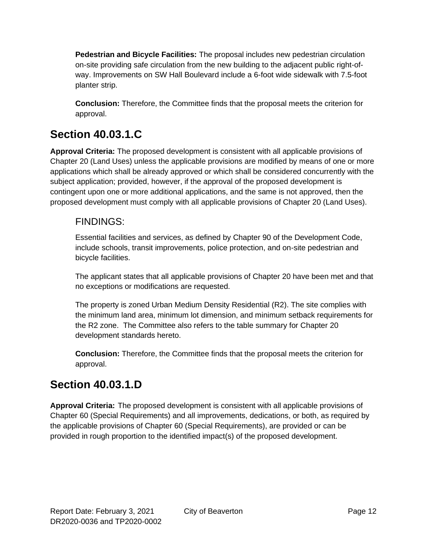**Pedestrian and Bicycle Facilities:** The proposal includes new pedestrian circulation on-site providing safe circulation from the new building to the adjacent public right-ofway. Improvements on SW Hall Boulevard include a 6-foot wide sidewalk with 7.5-foot planter strip.

**Conclusion:** Therefore, the Committee finds that the proposal meets the criterion for approval.

### **Section 40.03.1.C**

**Approval Criteria:** The proposed development is consistent with all applicable provisions of Chapter 20 (Land Uses) unless the applicable provisions are modified by means of one or more applications which shall be already approved or which shall be considered concurrently with the subject application; provided, however, if the approval of the proposed development is contingent upon one or more additional applications, and the same is not approved, then the proposed development must comply with all applicable provisions of Chapter 20 (Land Uses).

#### FINDINGS:

Essential facilities and services, as defined by Chapter 90 of the Development Code, include schools, transit improvements, police protection, and on-site pedestrian and bicycle facilities.

The applicant states that all applicable provisions of Chapter 20 have been met and that no exceptions or modifications are requested.

The property is zoned Urban Medium Density Residential (R2). The site complies with the minimum land area, minimum lot dimension, and minimum setback requirements for the R2 zone. The Committee also refers to the table summary for Chapter 20 development standards hereto.

**Conclusion:** Therefore, the Committee finds that the proposal meets the criterion for approval.

## **Section 40.03.1.D**

**Approval Criteria:** The proposed development is consistent with all applicable provisions of Chapter 60 (Special Requirements) and all improvements, dedications, or both, as required by the applicable provisions of Chapter 60 (Special Requirements), are provided or can be provided in rough proportion to the identified impact(s) of the proposed development.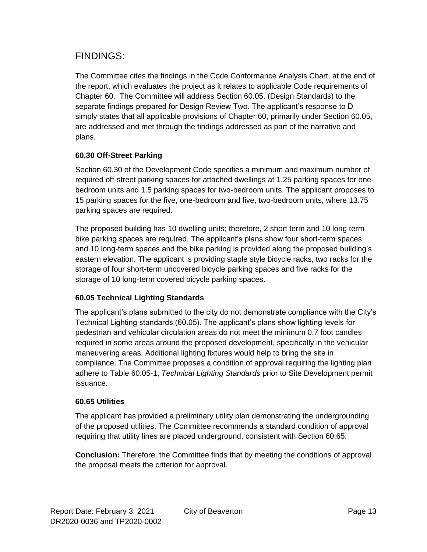#### FINDINGS:

The Committee cites the findings in the Code Conformance Analysis Chart, at the end of the report, which evaluates the project as it relates to applicable Code requirements of Chapter 60. The Committee will address Section 60.05. (Design Standards) to the separate findings prepared for Design Review Two. The applicant's response to D simply states that all applicable provisions of Chapter 60, primarily under Section 60.05, are addressed and met through the findings addressed as part of the narrative and plans.

#### **60.30 Off-Street Parking**

Section 60.30 of the Development Code specifies a minimum and maximum number of required off-street parking spaces for attached dwellings at 1.25 parking spaces for onebedroom units and 1.5 parking spaces for two-bedroom units. The applicant proposes to 15 parking spaces for the five, one-bedroom and five, two-bedroom units, where 13.75 parking spaces are required.

The proposed building has 10 dwelling units; therefore, 2 short term and 10 long term bike parking spaces are required. The applicant's plans show four short-term spaces and 10 long-term spaces and the bike parking is provided along the proposed building's eastern elevation. The applicant is providing staple style bicycle racks, two racks for the storage of four short-term uncovered bicycle parking spaces and five racks for the storage of 10 long-term covered bicycle parking spaces.

#### **60.05 Technical Lighting Standards**

The applicant's plans submitted to the city do not demonstrate compliance with the City's Technical Lighting standards (60.05). The applicant's plans show lighting levels for pedestrian and vehicular circulation areas do not meet the minimum 0.7 foot candles required in some areas around the proposed development, specifically in the vehicular maneuvering areas. Additional lighting fixtures would help to bring the site in compliance. The Committee proposes a condition of approval requiring the lighting plan adhere to Table 60.05-1, *Technical Lighting Standards* prior to Site Development permit issuance.

#### **60.65 Utilities**

The applicant has provided a preliminary utility plan demonstrating the undergrounding of the proposed utilities. The Committee recommends a standard condition of approval requiring that utility lines are placed underground, consistent with Section 60.65.

**Conclusion:** Therefore, the Committee finds that by meeting the conditions of approval the proposal meets the criterion for approval.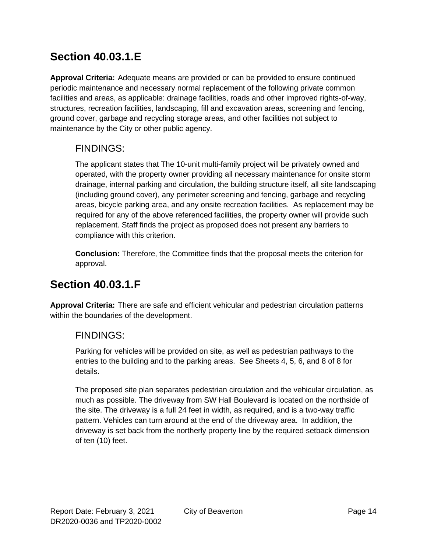## **Section 40.03.1.E**

**Approval Criteria:** Adequate means are provided or can be provided to ensure continued periodic maintenance and necessary normal replacement of the following private common facilities and areas, as applicable: drainage facilities, roads and other improved rights-of-way, structures, recreation facilities, landscaping, fill and excavation areas, screening and fencing, ground cover, garbage and recycling storage areas, and other facilities not subject to maintenance by the City or other public agency.

#### FINDINGS:

The applicant states that The 10-unit multi-family project will be privately owned and operated, with the property owner providing all necessary maintenance for onsite storm drainage, internal parking and circulation, the building structure itself, all site landscaping (including ground cover), any perimeter screening and fencing, garbage and recycling areas, bicycle parking area, and any onsite recreation facilities. As replacement may be required for any of the above referenced facilities, the property owner will provide such replacement. Staff finds the project as proposed does not present any barriers to compliance with this criterion.

**Conclusion:** Therefore, the Committee finds that the proposal meets the criterion for approval.

### **Section 40.03.1.F**

**Approval Criteria:** There are safe and efficient vehicular and pedestrian circulation patterns within the boundaries of the development.

#### FINDINGS:

Parking for vehicles will be provided on site, as well as pedestrian pathways to the entries to the building and to the parking areas. See Sheets 4, 5, 6, and 8 of 8 for details.

The proposed site plan separates pedestrian circulation and the vehicular circulation, as much as possible. The driveway from SW Hall Boulevard is located on the northside of the site. The driveway is a full 24 feet in width, as required, and is a two-way traffic pattern. Vehicles can turn around at the end of the driveway area. In addition, the driveway is set back from the northerly property line by the required setback dimension of ten (10) feet.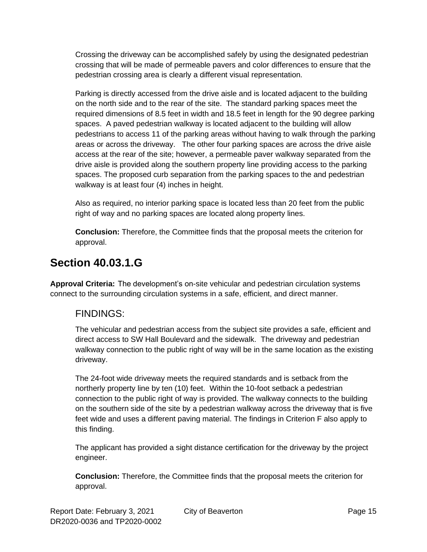Crossing the driveway can be accomplished safely by using the designated pedestrian crossing that will be made of permeable pavers and color differences to ensure that the pedestrian crossing area is clearly a different visual representation.

Parking is directly accessed from the drive aisle and is located adjacent to the building on the north side and to the rear of the site. The standard parking spaces meet the required dimensions of 8.5 feet in width and 18.5 feet in length for the 90 degree parking spaces. A paved pedestrian walkway is located adjacent to the building will allow pedestrians to access 11 of the parking areas without having to walk through the parking areas or across the driveway. The other four parking spaces are across the drive aisle access at the rear of the site; however, a permeable paver walkway separated from the drive aisle is provided along the southern property line providing access to the parking spaces. The proposed curb separation from the parking spaces to the and pedestrian walkway is at least four (4) inches in height.

Also as required, no interior parking space is located less than 20 feet from the public right of way and no parking spaces are located along property lines.

**Conclusion:** Therefore, the Committee finds that the proposal meets the criterion for approval.

## **Section 40.03.1.G**

**Approval Criteria:** The development's on-site vehicular and pedestrian circulation systems connect to the surrounding circulation systems in a safe, efficient, and direct manner.

### FINDINGS:

The vehicular and pedestrian access from the subject site provides a safe, efficient and direct access to SW Hall Boulevard and the sidewalk. The driveway and pedestrian walkway connection to the public right of way will be in the same location as the existing driveway.

The 24-foot wide driveway meets the required standards and is setback from the northerly property line by ten (10) feet. Within the 10-foot setback a pedestrian connection to the public right of way is provided. The walkway connects to the building on the southern side of the site by a pedestrian walkway across the driveway that is five feet wide and uses a different paving material. The findings in Criterion F also apply to this finding.

The applicant has provided a sight distance certification for the driveway by the project engineer.

**Conclusion:** Therefore, the Committee finds that the proposal meets the criterion for approval.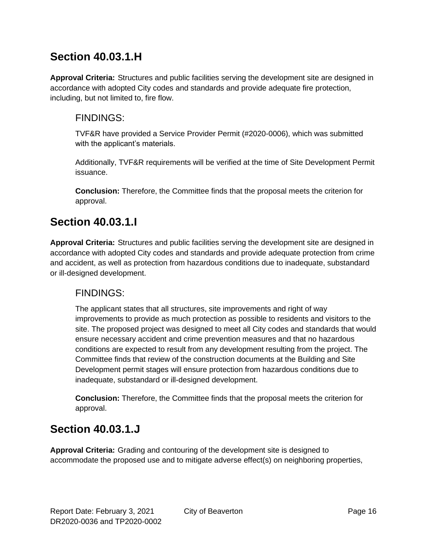### **Section 40.03.1.H**

**Approval Criteria:** Structures and public facilities serving the development site are designed in accordance with adopted City codes and standards and provide adequate fire protection, including, but not limited to, fire flow.

#### FINDINGS:

TVF&R have provided a Service Provider Permit (#2020-0006), which was submitted with the applicant's materials.

Additionally, TVF&R requirements will be verified at the time of Site Development Permit issuance.

**Conclusion:** Therefore, the Committee finds that the proposal meets the criterion for approval.

### **Section 40.03.1.I**

**Approval Criteria:** Structures and public facilities serving the development site are designed in accordance with adopted City codes and standards and provide adequate protection from crime and accident, as well as protection from hazardous conditions due to inadequate, substandard or ill-designed development.

### FINDINGS:

The applicant states that all structures, site improvements and right of way improvements to provide as much protection as possible to residents and visitors to the site. The proposed project was designed to meet all City codes and standards that would ensure necessary accident and crime prevention measures and that no hazardous conditions are expected to result from any development resulting from the project. The Committee finds that review of the construction documents at the Building and Site Development permit stages will ensure protection from hazardous conditions due to inadequate, substandard or ill-designed development.

**Conclusion:** Therefore, the Committee finds that the proposal meets the criterion for approval.

## **Section 40.03.1.J**

**Approval Criteria:** Grading and contouring of the development site is designed to accommodate the proposed use and to mitigate adverse effect(s) on neighboring properties,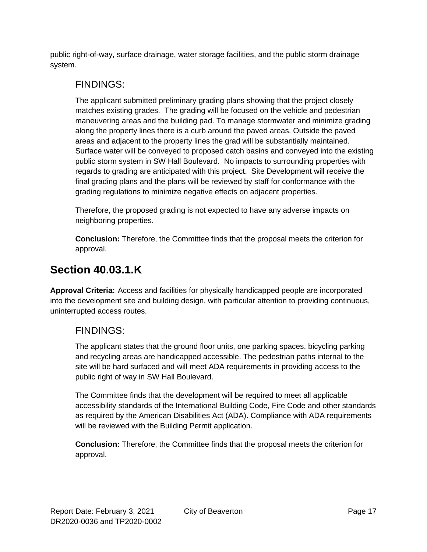public right-of-way, surface drainage, water storage facilities, and the public storm drainage system.

#### FINDINGS:

The applicant submitted preliminary grading plans showing that the project closely matches existing grades. The grading will be focused on the vehicle and pedestrian maneuvering areas and the building pad. To manage stormwater and minimize grading along the property lines there is a curb around the paved areas. Outside the paved areas and adjacent to the property lines the grad will be substantially maintained. Surface water will be conveyed to proposed catch basins and conveyed into the existing public storm system in SW Hall Boulevard. No impacts to surrounding properties with regards to grading are anticipated with this project. Site Development will receive the final grading plans and the plans will be reviewed by staff for conformance with the grading regulations to minimize negative effects on adjacent properties.

Therefore, the proposed grading is not expected to have any adverse impacts on neighboring properties.

**Conclusion:** Therefore, the Committee finds that the proposal meets the criterion for approval.

### **Section 40.03.1.K**

**Approval Criteria:** Access and facilities for physically handicapped people are incorporated into the development site and building design, with particular attention to providing continuous, uninterrupted access routes.

### FINDINGS:

The applicant states that the ground floor units, one parking spaces, bicycling parking and recycling areas are handicapped accessible. The pedestrian paths internal to the site will be hard surfaced and will meet ADA requirements in providing access to the public right of way in SW Hall Boulevard.

The Committee finds that the development will be required to meet all applicable accessibility standards of the International Building Code, Fire Code and other standards as required by the American Disabilities Act (ADA). Compliance with ADA requirements will be reviewed with the Building Permit application.

**Conclusion:** Therefore, the Committee finds that the proposal meets the criterion for approval.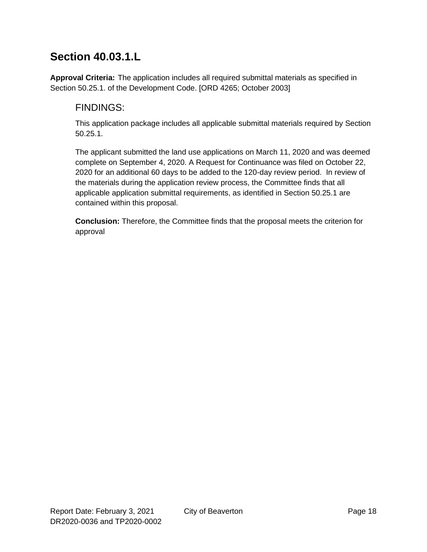## **Section 40.03.1.L**

**Approval Criteria:** The application includes all required submittal materials as specified in Section 50.25.1. of the Development Code. [ORD 4265; October 2003]

### FINDINGS:

This application package includes all applicable submittal materials required by Section 50.25.1.

The applicant submitted the land use applications on March 11, 2020 and was deemed complete on September 4, 2020. A Request for Continuance was filed on October 22, 2020 for an additional 60 days to be added to the 120-day review period. In review of the materials during the application review process, the Committee finds that all applicable application submittal requirements, as identified in Section 50.25.1 are contained within this proposal.

**Conclusion:** Therefore, the Committee finds that the proposal meets the criterion for approval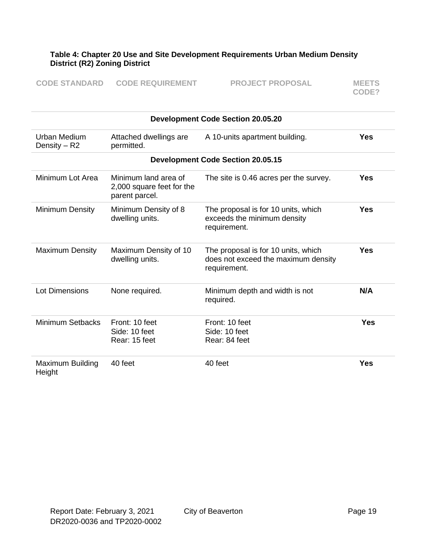#### **Table 4: Chapter 20 Use and Site Development Requirements Urban Medium Density District (R2) Zoning District**

| <b>CODE STANDARD</b> | <b>CODE REQUIREMENT</b> | <b>PROJECT PROPOSAL</b> | <b>MEETS</b> |
|----------------------|-------------------------|-------------------------|--------------|
|                      |                         |                         | CODE?        |

| <b>Development Code Section 20.05.20</b> |                                                                     |                                                                                            |            |
|------------------------------------------|---------------------------------------------------------------------|--------------------------------------------------------------------------------------------|------------|
| Urban Medium<br>Density $-$ R2           | Attached dwellings are<br>permitted.                                | A 10-units apartment building.                                                             | <b>Yes</b> |
|                                          |                                                                     | <b>Development Code Section 20.05.15</b>                                                   |            |
| Minimum Lot Area                         | Minimum land area of<br>2,000 square feet for the<br>parent parcel. | The site is 0.46 acres per the survey.                                                     | <b>Yes</b> |
| <b>Minimum Density</b>                   | Minimum Density of 8<br>dwelling units.                             | The proposal is for 10 units, which<br>exceeds the minimum density<br>requirement.         | <b>Yes</b> |
| <b>Maximum Density</b>                   | Maximum Density of 10<br>dwelling units.                            | The proposal is for 10 units, which<br>does not exceed the maximum density<br>requirement. | <b>Yes</b> |
| <b>Lot Dimensions</b>                    | None required.                                                      | Minimum depth and width is not<br>required.                                                | N/A        |
| <b>Minimum Setbacks</b>                  | Front: 10 feet<br>Side: 10 feet<br>Rear: 15 feet                    | Front: 10 feet<br>Side: 10 feet<br>Rear: 84 feet                                           | <b>Yes</b> |
| Maximum Building<br>Height               | 40 feet                                                             | 40 feet                                                                                    | <b>Yes</b> |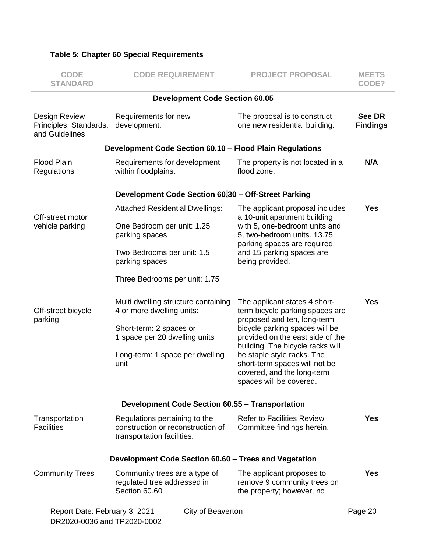#### **Table 5: Chapter 60 Special Requirements**

| <b>CODE</b><br><b>STANDARD</b>                            | <b>CODE REQUIREMENT</b>                                                                                                                                                 | <b>PROJECT PROPOSAL</b>                                                                                                                                                                                                                                                                                                           | <b>MEETS</b><br>CODE?     |
|-----------------------------------------------------------|-------------------------------------------------------------------------------------------------------------------------------------------------------------------------|-----------------------------------------------------------------------------------------------------------------------------------------------------------------------------------------------------------------------------------------------------------------------------------------------------------------------------------|---------------------------|
|                                                           | <b>Development Code Section 60.05</b>                                                                                                                                   |                                                                                                                                                                                                                                                                                                                                   |                           |
| Design Review<br>Principles, Standards,<br>and Guidelines | Requirements for new<br>development.                                                                                                                                    | The proposal is to construct<br>one new residential building.                                                                                                                                                                                                                                                                     | See DR<br><b>Findings</b> |
|                                                           | Development Code Section 60.10 - Flood Plain Regulations                                                                                                                |                                                                                                                                                                                                                                                                                                                                   |                           |
| <b>Flood Plain</b><br>Regulations                         | Requirements for development<br>within floodplains.                                                                                                                     | The property is not located in a<br>flood zone.                                                                                                                                                                                                                                                                                   | N/A                       |
|                                                           | Development Code Section 60.30 - Off-Street Parking                                                                                                                     |                                                                                                                                                                                                                                                                                                                                   |                           |
| Off-street motor<br>vehicle parking                       | <b>Attached Residential Dwellings:</b><br>One Bedroom per unit: 1.25<br>parking spaces<br>Two Bedrooms per unit: 1.5<br>parking spaces<br>Three Bedrooms per unit: 1.75 | The applicant proposal includes<br>a 10-unit apartment building<br>with 5, one-bedroom units and<br>5, two-bedroom units. 13.75<br>parking spaces are required,<br>and 15 parking spaces are<br>being provided.                                                                                                                   | <b>Yes</b>                |
|                                                           |                                                                                                                                                                         |                                                                                                                                                                                                                                                                                                                                   |                           |
| Off-street bicycle<br>parking                             | Multi dwelling structure containing<br>4 or more dwelling units:<br>Short-term: 2 spaces or<br>1 space per 20 dwelling units<br>Long-term: 1 space per dwelling<br>unit | The applicant states 4 short-<br>term bicycle parking spaces are<br>proposed and ten, long-term<br>bicycle parking spaces will be<br>provided on the east side of the<br>building. The bicycle racks will<br>be staple style racks. The<br>short-term spaces will not be<br>covered, and the long-term<br>spaces will be covered. | <b>Yes</b>                |
|                                                           | <b>Development Code Section 60.55 - Transportation</b>                                                                                                                  |                                                                                                                                                                                                                                                                                                                                   |                           |
| Transportation<br><b>Facilities</b>                       | Regulations pertaining to the<br>construction or reconstruction of<br>transportation facilities.                                                                        | <b>Refer to Facilities Review</b><br>Committee findings herein.                                                                                                                                                                                                                                                                   | <b>Yes</b>                |
|                                                           | Development Code Section 60.60 - Trees and Vegetation                                                                                                                   |                                                                                                                                                                                                                                                                                                                                   |                           |
| <b>Community Trees</b>                                    | Community trees are a type of<br>regulated tree addressed in<br>Section 60.60                                                                                           | The applicant proposes to<br>remove 9 community trees on<br>the property; however, no                                                                                                                                                                                                                                             | <b>Yes</b>                |
| Report Date: February 3, 2021                             | City of Beaverton                                                                                                                                                       |                                                                                                                                                                                                                                                                                                                                   | Page 20                   |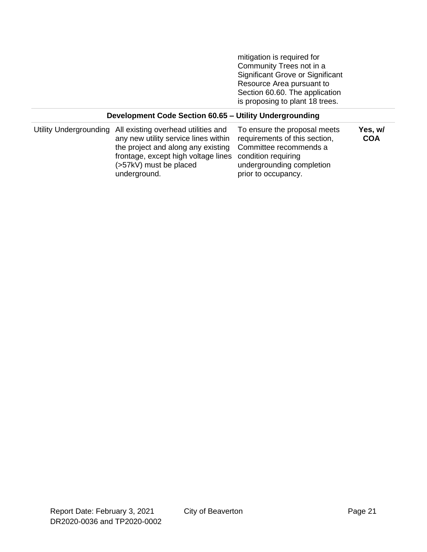mitigation is required for Community Trees not in a Significant Grove or Significant Resource Area pursuant to Section 60.60. The application is proposing to plant 18 trees.

#### **Development Code Section 60.65 – Utility Undergrounding**

| frontage, except high voltage lines condition requiring<br>undergrounding completion<br>(>57kV) must be placed<br>underground.<br>prior to occupancy. |  | Utility Undergrounding All existing overhead utilities and<br>any new utility service lines within requirements of this section,<br>the project and along any existing Committee recommends a | To ensure the proposal meets | Yes, w/<br><b>COA</b> |
|-------------------------------------------------------------------------------------------------------------------------------------------------------|--|-----------------------------------------------------------------------------------------------------------------------------------------------------------------------------------------------|------------------------------|-----------------------|
|-------------------------------------------------------------------------------------------------------------------------------------------------------|--|-----------------------------------------------------------------------------------------------------------------------------------------------------------------------------------------------|------------------------------|-----------------------|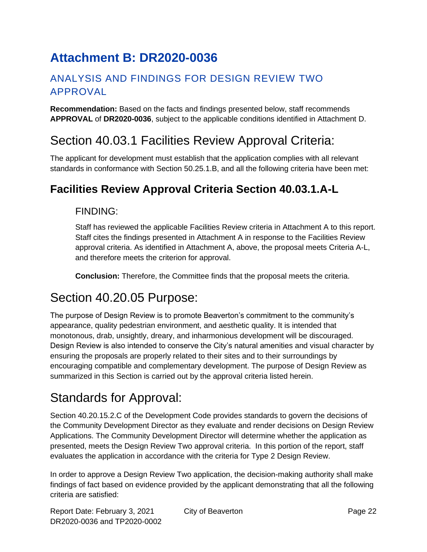# **Attachment B: DR2020-0036**

### ANALYSIS AND FINDINGS FOR DESIGN REVIEW TWO APPROVAL

**Recommendation:** Based on the facts and findings presented below, staff recommends **APPROVAL** of **DR2020-0036**, subject to the applicable conditions identified in Attachment D.

## Section 40.03.1 Facilities Review Approval Criteria:

The applicant for development must establish that the application complies with all relevant standards in conformance with Section 50.25.1.B, and all the following criteria have been met:

## **Facilities Review Approval Criteria Section 40.03.1.A-L**

#### FINDING:

Staff has reviewed the applicable Facilities Review criteria in Attachment A to this report. Staff cites the findings presented in Attachment A in response to the Facilities Review approval criteria. As identified in Attachment A, above, the proposal meets Criteria A-L, and therefore meets the criterion for approval.

**Conclusion:** Therefore, the Committee finds that the proposal meets the criteria.

## Section 40.20.05 Purpose:

The purpose of Design Review is to promote Beaverton's commitment to the community's appearance, quality pedestrian environment, and aesthetic quality. It is intended that monotonous, drab, unsightly, dreary, and inharmonious development will be discouraged. Design Review is also intended to conserve the City's natural amenities and visual character by ensuring the proposals are properly related to their sites and to their surroundings by encouraging compatible and complementary development. The purpose of Design Review as summarized in this Section is carried out by the approval criteria listed herein.

# Standards for Approval:

Section 40.20.15.2.C of the Development Code provides standards to govern the decisions of the Community Development Director as they evaluate and render decisions on Design Review Applications. The Community Development Director will determine whether the application as presented, meets the Design Review Two approval criteria. In this portion of the report, staff evaluates the application in accordance with the criteria for Type 2 Design Review.

In order to approve a Design Review Two application, the decision-making authority shall make findings of fact based on evidence provided by the applicant demonstrating that all the following criteria are satisfied: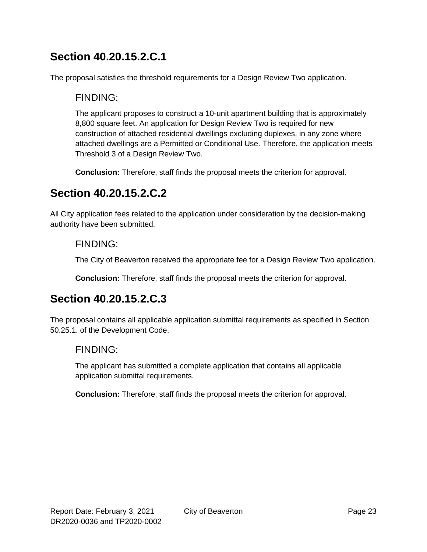### **Section 40.20.15.2.C.1**

The proposal satisfies the threshold requirements for a Design Review Two application.

#### FINDING:

The applicant proposes to construct a 10-unit apartment building that is approximately 8,800 square feet. An application for Design Review Two is required for new construction of attached residential dwellings excluding duplexes, in any zone where attached dwellings are a Permitted or Conditional Use. Therefore, the application meets Threshold 3 of a Design Review Two.

**Conclusion:** Therefore, staff finds the proposal meets the criterion for approval.

### **Section 40.20.15.2.C.2**

All City application fees related to the application under consideration by the decision-making authority have been submitted.

#### FINDING:

The City of Beaverton received the appropriate fee for a Design Review Two application.

**Conclusion:** Therefore, staff finds the proposal meets the criterion for approval.

### **Section 40.20.15.2.C.3**

The proposal contains all applicable application submittal requirements as specified in Section 50.25.1. of the Development Code.

#### FINDING:

The applicant has submitted a complete application that contains all applicable application submittal requirements.

**Conclusion:** Therefore, staff finds the proposal meets the criterion for approval.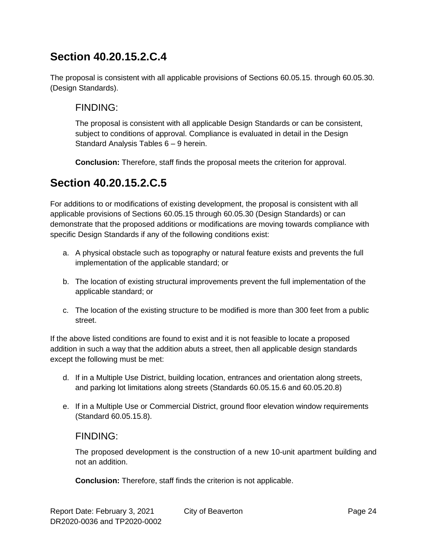## **Section 40.20.15.2.C.4**

The proposal is consistent with all applicable provisions of Sections 60.05.15. through 60.05.30. (Design Standards).

### FINDING:

The proposal is consistent with all applicable Design Standards or can be consistent, subject to conditions of approval. Compliance is evaluated in detail in the Design Standard Analysis Tables 6 – 9 herein.

**Conclusion:** Therefore, staff finds the proposal meets the criterion for approval.

## **Section 40.20.15.2.C.5**

For additions to or modifications of existing development, the proposal is consistent with all applicable provisions of Sections 60.05.15 through 60.05.30 (Design Standards) or can demonstrate that the proposed additions or modifications are moving towards compliance with specific Design Standards if any of the following conditions exist:

- a. A physical obstacle such as topography or natural feature exists and prevents the full implementation of the applicable standard; or
- b. The location of existing structural improvements prevent the full implementation of the applicable standard; or
- c. The location of the existing structure to be modified is more than 300 feet from a public street.

If the above listed conditions are found to exist and it is not feasible to locate a proposed addition in such a way that the addition abuts a street, then all applicable design standards except the following must be met:

- d. If in a Multiple Use District, building location, entrances and orientation along streets, and parking lot limitations along streets (Standards 60.05.15.6 and 60.05.20.8)
- e. If in a Multiple Use or Commercial District, ground floor elevation window requirements (Standard 60.05.15.8).

#### FINDING:

The proposed development is the construction of a new 10-unit apartment building and not an addition.

**Conclusion:** Therefore, staff finds the criterion is not applicable.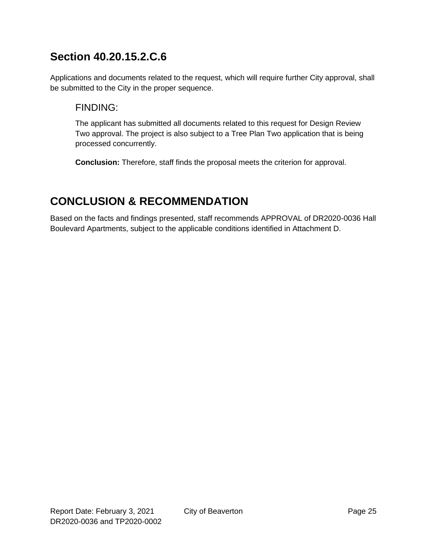## **Section 40.20.15.2.C.6**

Applications and documents related to the request, which will require further City approval, shall be submitted to the City in the proper sequence.

#### FINDING:

The applicant has submitted all documents related to this request for Design Review Two approval. The project is also subject to a Tree Plan Two application that is being processed concurrently.

**Conclusion:** Therefore, staff finds the proposal meets the criterion for approval.

## **CONCLUSION & RECOMMENDATION**

Based on the facts and findings presented, staff recommends APPROVAL of DR2020-0036 Hall Boulevard Apartments, subject to the applicable conditions identified in Attachment D.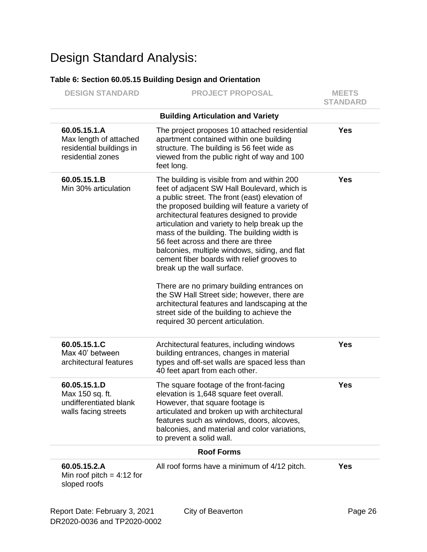# Design Standard Analysis:

#### **Table 6: Section 60.05.15 Building Design and Orientation**

| <b>DESIGN STANDARD</b>                                                                  | <b>PROJECT PROPOSAL</b>                                                                                                                                                                                                                                                                                                                                                                                                                                                                                                                                                                                                                                                                                                                            | <b>MEETS</b><br><b>STANDARD</b> |
|-----------------------------------------------------------------------------------------|----------------------------------------------------------------------------------------------------------------------------------------------------------------------------------------------------------------------------------------------------------------------------------------------------------------------------------------------------------------------------------------------------------------------------------------------------------------------------------------------------------------------------------------------------------------------------------------------------------------------------------------------------------------------------------------------------------------------------------------------------|---------------------------------|
|                                                                                         | <b>Building Articulation and Variety</b>                                                                                                                                                                                                                                                                                                                                                                                                                                                                                                                                                                                                                                                                                                           |                                 |
| 60.05.15.1.A<br>Max length of attached<br>residential buildings in<br>residential zones | The project proposes 10 attached residential<br>apartment contained within one building<br>structure. The building is 56 feet wide as<br>viewed from the public right of way and 100<br>feet long.                                                                                                                                                                                                                                                                                                                                                                                                                                                                                                                                                 | <b>Yes</b>                      |
| 60.05.15.1.B<br>Min 30% articulation                                                    | The building is visible from and within 200<br>feet of adjacent SW Hall Boulevard, which is<br>a public street. The front (east) elevation of<br>the proposed building will feature a variety of<br>architectural features designed to provide<br>articulation and variety to help break up the<br>mass of the building. The building width is<br>56 feet across and there are three<br>balconies, multiple windows, siding, and flat<br>cement fiber boards with relief grooves to<br>break up the wall surface.<br>There are no primary building entrances on<br>the SW Hall Street side; however, there are<br>architectural features and landscaping at the<br>street side of the building to achieve the<br>required 30 percent articulation. | <b>Yes</b>                      |
| 60.05.15.1.C<br>Max 40' between<br>architectural features                               | Architectural features, including windows<br>building entrances, changes in material<br>types and off-set walls are spaced less than<br>40 feet apart from each other.                                                                                                                                                                                                                                                                                                                                                                                                                                                                                                                                                                             | <b>Yes</b>                      |
| 60.05.15.1.D<br>Max 150 sq. ft.<br>undifferentiated blank<br>walls facing streets       | The square footage of the front-facing<br>elevation is 1,648 square feet overall.<br>However, that square footage is<br>articulated and broken up with architectural<br>features such as windows, doors, alcoves,<br>balconies, and material and color variations,<br>to prevent a solid wall.                                                                                                                                                                                                                                                                                                                                                                                                                                                     | <b>Yes</b>                      |
|                                                                                         | <b>Roof Forms</b>                                                                                                                                                                                                                                                                                                                                                                                                                                                                                                                                                                                                                                                                                                                                  |                                 |
| 60.05.15.2.A<br>Min roof pitch = $4:12$ for<br>sloped roofs                             | All roof forms have a minimum of 4/12 pitch.                                                                                                                                                                                                                                                                                                                                                                                                                                                                                                                                                                                                                                                                                                       | <b>Yes</b>                      |
| Report Date: February 3, 2021                                                           | City of Beaverton                                                                                                                                                                                                                                                                                                                                                                                                                                                                                                                                                                                                                                                                                                                                  | Page 26                         |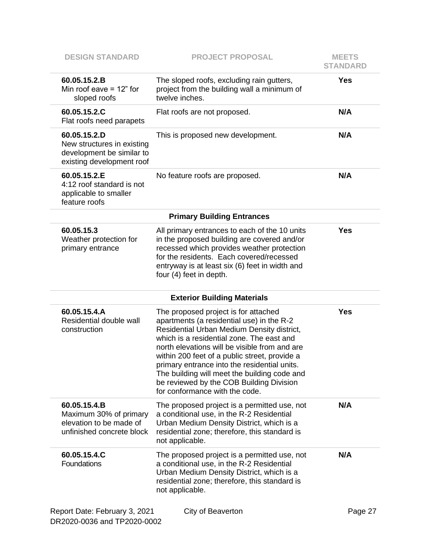| <b>DESIGN STANDARD</b>                                                                               | <b>PROJECT PROPOSAL</b>                                                                                                                                                                                                                                                                                                                                                                                                                                      | <b>MEETS</b><br><b>STANDARD</b> |
|------------------------------------------------------------------------------------------------------|--------------------------------------------------------------------------------------------------------------------------------------------------------------------------------------------------------------------------------------------------------------------------------------------------------------------------------------------------------------------------------------------------------------------------------------------------------------|---------------------------------|
| 60.05.15.2.B<br>Min roof eave $= 12$ " for<br>sloped roofs                                           | The sloped roofs, excluding rain gutters,<br>project from the building wall a minimum of<br>twelve inches.                                                                                                                                                                                                                                                                                                                                                   | <b>Yes</b>                      |
| 60.05.15.2.C<br>Flat roofs need parapets                                                             | Flat roofs are not proposed.                                                                                                                                                                                                                                                                                                                                                                                                                                 | N/A                             |
| 60.05.15.2.D<br>New structures in existing<br>development be similar to<br>existing development roof | This is proposed new development.                                                                                                                                                                                                                                                                                                                                                                                                                            | N/A                             |
| 60.05.15.2.E<br>4:12 roof standard is not<br>applicable to smaller<br>feature roofs                  | No feature roofs are proposed.                                                                                                                                                                                                                                                                                                                                                                                                                               | N/A                             |
|                                                                                                      | <b>Primary Building Entrances</b>                                                                                                                                                                                                                                                                                                                                                                                                                            |                                 |
| 60.05.15.3<br>Weather protection for<br>primary entrance                                             | All primary entrances to each of the 10 units<br>in the proposed building are covered and/or<br>recessed which provides weather protection<br>for the residents. Each covered/recessed<br>entryway is at least six (6) feet in width and<br>four (4) feet in depth.                                                                                                                                                                                          | <b>Yes</b>                      |
|                                                                                                      | <b>Exterior Building Materials</b>                                                                                                                                                                                                                                                                                                                                                                                                                           |                                 |
| 60.05.15.4.A<br>Residential double wall<br>construction                                              | The proposed project is for attached<br>apartments (a residential use) in the R-2<br>Residential Urban Medium Density district,<br>which is a residential zone. The east and<br>north elevations will be visible from and are<br>within 200 feet of a public street, provide a<br>primary entrance into the residential units.<br>The building will meet the building code and<br>be reviewed by the COB Building Division<br>for conformance with the code. | <b>Yes</b>                      |
| 60.05.15.4.B<br>Maximum 30% of primary<br>elevation to be made of<br>unfinished concrete block       | The proposed project is a permitted use, not<br>a conditional use, in the R-2 Residential<br>Urban Medium Density District, which is a<br>residential zone; therefore, this standard is<br>not applicable.                                                                                                                                                                                                                                                   | N/A                             |
| 60.05.15.4.C<br>Foundations                                                                          | The proposed project is a permitted use, not<br>a conditional use, in the R-2 Residential<br>Urban Medium Density District, which is a<br>residential zone; therefore, this standard is<br>not applicable.                                                                                                                                                                                                                                                   | N/A                             |
| Report Date: February 3, 2021                                                                        | City of Beaverton                                                                                                                                                                                                                                                                                                                                                                                                                                            | Page 27                         |

DR2020-0036 and TP2020-0002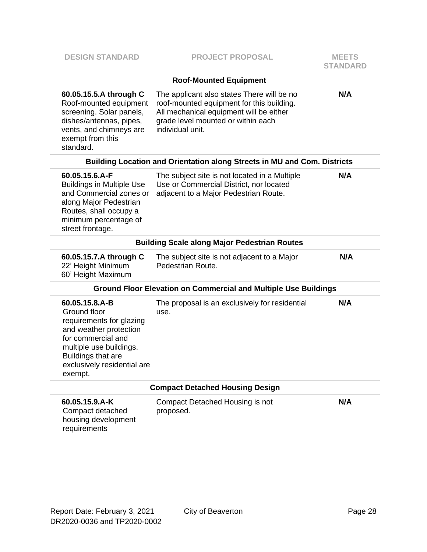| <b>DESIGN STANDARD</b>                                                                                                                                                                                | <b>PROJECT PROPOSAL</b>                                                                                                                                                                      | <b>MEETS</b><br><b>STANDARD</b> |  |
|-------------------------------------------------------------------------------------------------------------------------------------------------------------------------------------------------------|----------------------------------------------------------------------------------------------------------------------------------------------------------------------------------------------|---------------------------------|--|
|                                                                                                                                                                                                       | <b>Roof-Mounted Equipment</b>                                                                                                                                                                |                                 |  |
| 60.05.15.5.A through C<br>Roof-mounted equipment<br>screening. Solar panels,<br>dishes/antennas, pipes,<br>vents, and chimneys are<br>exempt from this<br>standard.                                   | The applicant also states There will be no<br>roof-mounted equipment for this building.<br>All mechanical equipment will be either<br>grade level mounted or within each<br>individual unit. | N/A                             |  |
|                                                                                                                                                                                                       | Building Location and Orientation along Streets in MU and Com. Districts                                                                                                                     |                                 |  |
| 60.05.15.6.A-F<br><b>Buildings in Multiple Use</b><br>and Commercial zones or<br>along Major Pedestrian<br>Routes, shall occupy a<br>minimum percentage of<br>street frontage.                        | The subject site is not located in a Multiple<br>Use or Commercial District, nor located<br>adjacent to a Major Pedestrian Route.                                                            | N/A                             |  |
| <b>Building Scale along Major Pedestrian Routes</b>                                                                                                                                                   |                                                                                                                                                                                              |                                 |  |
| 60.05.15.7.A through C<br>22' Height Minimum<br>60' Height Maximum                                                                                                                                    | The subject site is not adjacent to a Major<br>Pedestrian Route.                                                                                                                             | N/A                             |  |
|                                                                                                                                                                                                       | <b>Ground Floor Elevation on Commercial and Multiple Use Buildings</b>                                                                                                                       |                                 |  |
| 60.05.15.8.A-B<br>Ground floor<br>requirements for glazing<br>and weather protection<br>for commercial and<br>multiple use buildings.<br>Buildings that are<br>exclusively residential are<br>exempt. | The proposal is an exclusively for residential<br>use.                                                                                                                                       | N/A                             |  |
|                                                                                                                                                                                                       | <b>Compact Detached Housing Design</b>                                                                                                                                                       |                                 |  |
| 60.05.15.9.A-K<br>Compact detached<br>housing development<br>requirements                                                                                                                             | Compact Detached Housing is not<br>proposed.                                                                                                                                                 | N/A                             |  |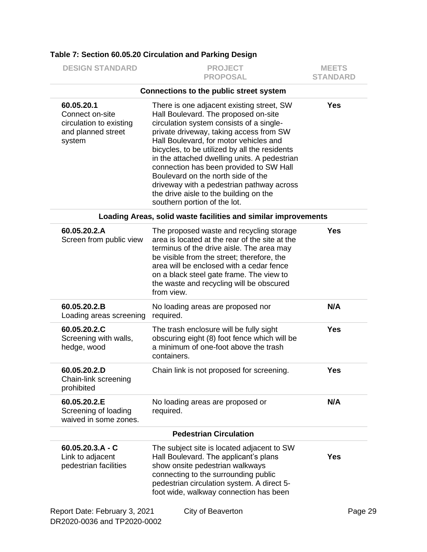| <b>DESIGN STANDARD</b>                                                                   | <b>PROJECT</b><br><b>PROPOSAL</b>                                                                                                                                                                                                                                                                                                                                                                                                                                                                                           | <b>MEETS</b><br><b>STANDARD</b> |
|------------------------------------------------------------------------------------------|-----------------------------------------------------------------------------------------------------------------------------------------------------------------------------------------------------------------------------------------------------------------------------------------------------------------------------------------------------------------------------------------------------------------------------------------------------------------------------------------------------------------------------|---------------------------------|
|                                                                                          | Connections to the public street system                                                                                                                                                                                                                                                                                                                                                                                                                                                                                     |                                 |
| 60.05.20.1<br>Connect on-site<br>circulation to existing<br>and planned street<br>system | There is one adjacent existing street, SW<br>Hall Boulevard. The proposed on-site<br>circulation system consists of a single-<br>private driveway, taking access from SW<br>Hall Boulevard, for motor vehicles and<br>bicycles, to be utilized by all the residents<br>in the attached dwelling units. A pedestrian<br>connection has been provided to SW Hall<br>Boulevard on the north side of the<br>driveway with a pedestrian pathway across<br>the drive aisle to the building on the<br>southern portion of the lot. | <b>Yes</b>                      |
|                                                                                          | Loading Areas, solid waste facilities and similar improvements                                                                                                                                                                                                                                                                                                                                                                                                                                                              |                                 |
| 60.05.20.2.A<br>Screen from public view                                                  | The proposed waste and recycling storage<br>area is located at the rear of the site at the<br>terminus of the drive aisle. The area may<br>be visible from the street; therefore, the<br>area will be enclosed with a cedar fence<br>on a black steel gate frame. The view to<br>the waste and recycling will be obscured<br>from view.                                                                                                                                                                                     | <b>Yes</b>                      |
| 60.05.20.2.B<br>Loading areas screening                                                  | No loading areas are proposed nor<br>required.                                                                                                                                                                                                                                                                                                                                                                                                                                                                              | N/A                             |
| 60.05.20.2.C<br>Screening with walls,<br>hedge, wood                                     | The trash enclosure will be fully sight<br>obscuring eight (8) foot fence which will be<br>a minimum of one-foot above the trash<br>containers.                                                                                                                                                                                                                                                                                                                                                                             | Yes                             |
| 60.05.20.2.D<br>Chain-link screening<br>prohibited                                       | Chain link is not proposed for screening.                                                                                                                                                                                                                                                                                                                                                                                                                                                                                   | <b>Yes</b>                      |
| 60.05.20.2.E<br>Screening of loading<br>waived in some zones.                            | No loading areas are proposed or<br>required.                                                                                                                                                                                                                                                                                                                                                                                                                                                                               | N/A                             |
|                                                                                          | <b>Pedestrian Circulation</b>                                                                                                                                                                                                                                                                                                                                                                                                                                                                                               |                                 |
| $60.05.20.3.A - C$<br>Link to adjacent<br>pedestrian facilities                          | The subject site is located adjacent to SW<br>Hall Boulevard. The applicant's plans<br>show onsite pedestrian walkways<br>connecting to the surrounding public<br>pedestrian circulation system. A direct 5-<br>foot wide, walkway connection has been                                                                                                                                                                                                                                                                      | <b>Yes</b>                      |
| Report Date: February 3, 2021<br>DR2020-0036 and TP2020-0002                             | City of Beaverton                                                                                                                                                                                                                                                                                                                                                                                                                                                                                                           | Page 29                         |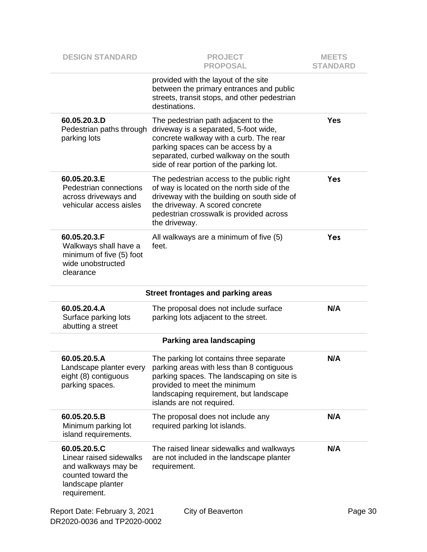| <b>DESIGN STANDARD</b>                                                                                                    | <b>PROJECT</b><br><b>PROPOSAL</b>                                                                                                                                                                                                                 | <b>MEETS</b><br><b>STANDARD</b> |
|---------------------------------------------------------------------------------------------------------------------------|---------------------------------------------------------------------------------------------------------------------------------------------------------------------------------------------------------------------------------------------------|---------------------------------|
|                                                                                                                           | provided with the layout of the site<br>between the primary entrances and public<br>streets, transit stops, and other pedestrian<br>destinations.                                                                                                 |                                 |
| 60.05.20.3.D<br>Pedestrian paths through<br>parking lots                                                                  | The pedestrian path adjacent to the<br>driveway is a separated, 5-foot wide,<br>concrete walkway with a curb. The rear<br>parking spaces can be access by a<br>separated, curbed walkway on the south<br>side of rear portion of the parking lot. | <b>Yes</b>                      |
| 60.05.20.3.E<br>Pedestrian connections<br>across driveways and<br>vehicular access aisles                                 | The pedestrian access to the public right<br>of way is located on the north side of the<br>driveway with the building on south side of<br>the driveway. A scored concrete<br>pedestrian crosswalk is provided across<br>the driveway.             | Yes                             |
| 60.05.20.3.F<br>Walkways shall have a<br>minimum of five (5) foot<br>wide unobstructed<br>clearance                       | All walkways are a minimum of five (5)<br>feet.                                                                                                                                                                                                   | Yes                             |
|                                                                                                                           | <b>Street frontages and parking areas</b>                                                                                                                                                                                                         |                                 |
| 60.05.20.4.A<br>Surface parking lots<br>abutting a street                                                                 | The proposal does not include surface<br>parking lots adjacent to the street.                                                                                                                                                                     | N/A                             |
|                                                                                                                           | <b>Parking area landscaping</b>                                                                                                                                                                                                                   |                                 |
| 60.05.20.5.A<br>Landscape planter every<br>eight (8) contiguous<br>parking spaces.                                        | The parking lot contains three separate<br>parking areas with less than 8 contiguous<br>parking spaces. The landscaping on site is<br>provided to meet the minimum<br>landscaping requirement, but landscape<br>islands are not required.         | N/A                             |
| 60.05.20.5.B<br>Minimum parking lot<br>island requirements.                                                               | The proposal does not include any<br>required parking lot islands.                                                                                                                                                                                | N/A                             |
| 60.05.20.5.C<br>Linear raised sidewalks<br>and walkways may be<br>counted toward the<br>landscape planter<br>requirement. | The raised linear sidewalks and walkways<br>are not included in the landscape planter<br>requirement.                                                                                                                                             | N/A                             |
| Report Date: February 3, 2021<br>DR2020-0036 and TP2020-0002                                                              | City of Beaverton                                                                                                                                                                                                                                 | Page 30                         |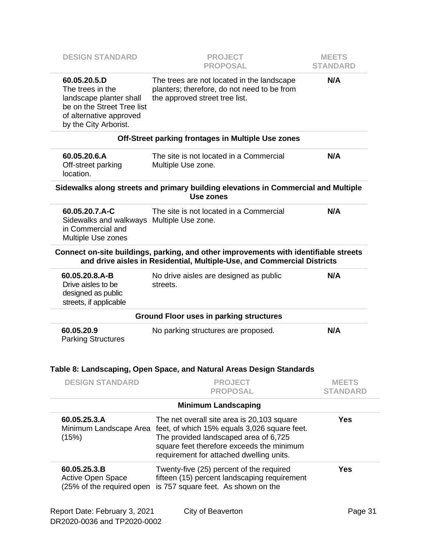| <b>DESIGN STANDARD</b>                                                                                                                        | <b>PROJECT</b><br><b>PROPOSAL</b>                                                                                                                                                                                            | <b>MEETS</b><br><b>STANDARD</b> |
|-----------------------------------------------------------------------------------------------------------------------------------------------|------------------------------------------------------------------------------------------------------------------------------------------------------------------------------------------------------------------------------|---------------------------------|
| 60.05.20.5.D<br>The trees in the<br>landscape planter shall<br>be on the Street Tree list<br>of alternative approved<br>by the City Arborist. | The trees are not located in the landscape<br>planters; therefore, do not need to be from<br>the approved street tree list.                                                                                                  | N/A                             |
|                                                                                                                                               | Off-Street parking frontages in Multiple Use zones                                                                                                                                                                           |                                 |
| 60.05.20.6.A<br>Off-street parking<br>location.                                                                                               | The site is not located in a Commercial<br>Multiple Use zone.                                                                                                                                                                | N/A                             |
|                                                                                                                                               | Sidewalks along streets and primary building elevations in Commercial and Multiple<br><b>Use zones</b>                                                                                                                       |                                 |
| 60.05.20.7.A-C<br>Sidewalks and walkways Multiple Use zone.<br>in Commercial and<br>Multiple Use zones                                        | The site is not located in a Commercial                                                                                                                                                                                      | N/A                             |
|                                                                                                                                               | Connect on-site buildings, parking, and other improvements with identifiable streets<br>and drive aisles in Residential, Multiple-Use, and Commercial Districts                                                              |                                 |
| 60.05.20.8.A-B<br>Drive aisles to be<br>designed as public<br>streets, if applicable                                                          | No drive aisles are designed as public<br>streets.                                                                                                                                                                           | N/A                             |
|                                                                                                                                               | <b>Ground Floor uses in parking structures</b>                                                                                                                                                                               |                                 |
| 60.05.20.9<br><b>Parking Structures</b>                                                                                                       | No parking structures are proposed.<br>Table 8: Landscaping, Open Space, and Natural Areas Design Standards                                                                                                                  | N/A                             |
| <b>DESIGN STANDARD</b>                                                                                                                        | <b>PROJECT</b>                                                                                                                                                                                                               | <b>MEETS</b>                    |
|                                                                                                                                               | <b>PROPOSAL</b>                                                                                                                                                                                                              | <b>STANDARD</b>                 |
|                                                                                                                                               | <b>Minimum Landscaping</b>                                                                                                                                                                                                   |                                 |
| 60.05.25.3.A<br>Minimum Landscape Area<br>(15%)                                                                                               | The net overall site area is 20,103 square<br>feet, of which 15% equals 3,026 square feet.<br>The provided landscaped area of 6,725<br>square feet therefore exceeds the minimum<br>requirement for attached dwelling units. | <b>Yes</b>                      |
| 60.05.25.3.B<br><b>Active Open Space</b><br>(25% of the required open                                                                         | Twenty-five (25) percent of the required<br>fifteen (15) percent landscaping requirement<br>is 757 square feet. As shown on the                                                                                              | <b>Yes</b>                      |
| Report Date: February 3, 2021                                                                                                                 | City of Beaverton                                                                                                                                                                                                            | Page 31                         |

DR2020-0036 and TP2020-0002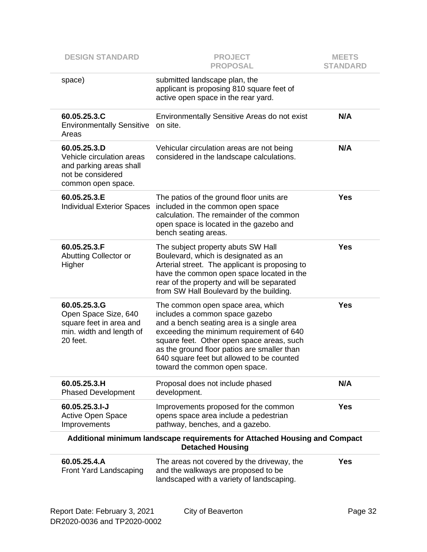| <b>DESIGN STANDARD</b>                                                                                          | <b>PROJECT</b><br><b>PROPOSAL</b>                                                                                                                                                                                                                                                                                                      | <b>MEETS</b><br><b>STANDARD</b> |
|-----------------------------------------------------------------------------------------------------------------|----------------------------------------------------------------------------------------------------------------------------------------------------------------------------------------------------------------------------------------------------------------------------------------------------------------------------------------|---------------------------------|
| space)                                                                                                          | submitted landscape plan, the<br>applicant is proposing 810 square feet of<br>active open space in the rear yard.                                                                                                                                                                                                                      |                                 |
| 60.05.25.3.C<br><b>Environmentally Sensitive</b><br>Areas                                                       | Environmentally Sensitive Areas do not exist<br>on site.                                                                                                                                                                                                                                                                               | N/A                             |
| 60.05.25.3.D<br>Vehicle circulation areas<br>and parking areas shall<br>not be considered<br>common open space. | Vehicular circulation areas are not being<br>considered in the landscape calculations.                                                                                                                                                                                                                                                 | N/A                             |
| 60.05.25.3.E<br><b>Individual Exterior Spaces</b>                                                               | The patios of the ground floor units are<br>included in the common open space<br>calculation. The remainder of the common<br>open space is located in the gazebo and<br>bench seating areas.                                                                                                                                           | <b>Yes</b>                      |
| 60.05.25.3.F<br>Abutting Collector or<br>Higher                                                                 | The subject property abuts SW Hall<br>Boulevard, which is designated as an<br>Arterial street. The applicant is proposing to<br>have the common open space located in the<br>rear of the property and will be separated<br>from SW Hall Boulevard by the building.                                                                     | <b>Yes</b>                      |
| 60.05.25.3.G<br>Open Space Size, 640<br>square feet in area and<br>min. width and length of<br>20 feet.         | The common open space area, which<br>includes a common space gazebo<br>and a bench seating area is a single area<br>exceeding the minimum requirement of 640<br>square feet. Other open space areas, such<br>as the ground floor patios are smaller than<br>640 square feet but allowed to be counted<br>toward the common open space. | <b>Yes</b>                      |
| 60.05.25.3.H<br><b>Phased Development</b>                                                                       | Proposal does not include phased<br>development.                                                                                                                                                                                                                                                                                       | N/A                             |
| 60.05.25.3.I-J<br><b>Active Open Space</b><br>Improvements                                                      | Improvements proposed for the common<br>opens space area include a pedestrian<br>pathway, benches, and a gazebo.                                                                                                                                                                                                                       | <b>Yes</b>                      |
| Additional minimum landscape requirements for Attached Housing and Compact<br><b>Detached Housing</b>           |                                                                                                                                                                                                                                                                                                                                        |                                 |
| 60.05.25.4.A<br>Front Yard Landscaping                                                                          | The areas not covered by the driveway, the<br>and the walkways are proposed to be<br>landscaped with a variety of landscaping.                                                                                                                                                                                                         | <b>Yes</b>                      |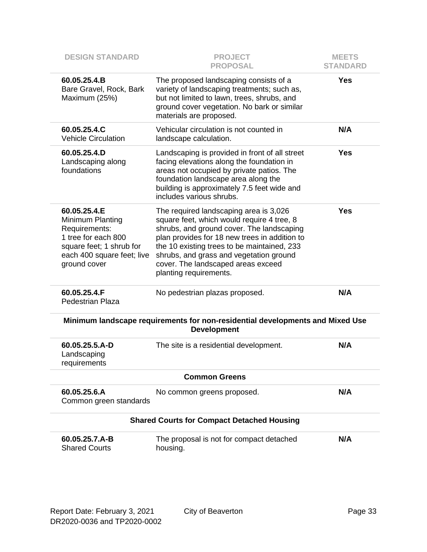| <b>DESIGN STANDARD</b>                                                                                                                             | <b>PROJECT</b><br><b>PROPOSAL</b>                                                                                                                                                                                                                                                                                                            | <b>MEETS</b><br><b>STANDARD</b> |  |
|----------------------------------------------------------------------------------------------------------------------------------------------------|----------------------------------------------------------------------------------------------------------------------------------------------------------------------------------------------------------------------------------------------------------------------------------------------------------------------------------------------|---------------------------------|--|
| 60.05.25.4.B<br>Bare Gravel, Rock, Bark<br>Maximum (25%)                                                                                           | The proposed landscaping consists of a<br>variety of landscaping treatments; such as,<br>but not limited to lawn, trees, shrubs, and<br>ground cover vegetation. No bark or similar<br>materials are proposed.                                                                                                                               | <b>Yes</b>                      |  |
| 60.05.25.4.C<br><b>Vehicle Circulation</b>                                                                                                         | Vehicular circulation is not counted in<br>landscape calculation.                                                                                                                                                                                                                                                                            | N/A                             |  |
| 60.05.25.4.D<br>Landscaping along<br>foundations                                                                                                   | Landscaping is provided in front of all street<br>facing elevations along the foundation in<br>areas not occupied by private patios. The<br>foundation landscape area along the<br>building is approximately 7.5 feet wide and<br>includes various shrubs.                                                                                   | <b>Yes</b>                      |  |
| 60.05.25.4.E<br>Minimum Planting<br>Requirements:<br>1 tree for each 800<br>square feet; 1 shrub for<br>each 400 square feet; live<br>ground cover | The required landscaping area is 3,026<br>square feet, which would require 4 tree, 8<br>shrubs, and ground cover. The landscaping<br>plan provides for 18 new trees in addition to<br>the 10 existing trees to be maintained, 233<br>shrubs, and grass and vegetation ground<br>cover. The landscaped areas exceed<br>planting requirements. | <b>Yes</b>                      |  |
| 60.05.25.4.F<br><b>Pedestrian Plaza</b>                                                                                                            | No pedestrian plazas proposed.                                                                                                                                                                                                                                                                                                               | N/A                             |  |
| Minimum landscape requirements for non-residential developments and Mixed Use<br><b>Development</b>                                                |                                                                                                                                                                                                                                                                                                                                              |                                 |  |
| 60.05.25.5.A-D<br>Landscaping<br>requirements                                                                                                      | The site is a residential development.                                                                                                                                                                                                                                                                                                       | N/A                             |  |
| <b>Common Greens</b>                                                                                                                               |                                                                                                                                                                                                                                                                                                                                              |                                 |  |
| 60.05.25.6.A<br>Common green standards                                                                                                             | No common greens proposed.                                                                                                                                                                                                                                                                                                                   | N/A                             |  |
| <b>Shared Courts for Compact Detached Housing</b>                                                                                                  |                                                                                                                                                                                                                                                                                                                                              |                                 |  |
| 60.05.25.7.A-B<br><b>Shared Courts</b>                                                                                                             | The proposal is not for compact detached<br>housing.                                                                                                                                                                                                                                                                                         | N/A                             |  |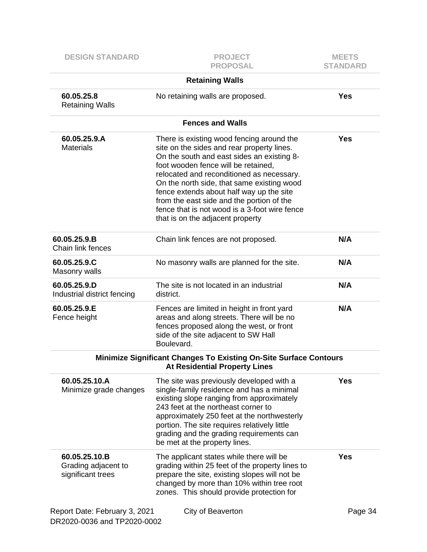| <b>DESIGN STANDARD</b>                                       | <b>PROJECT</b><br><b>PROPOSAL</b>                                                                                                                                                                                                                                                                                                                                                                                                                     | <b>MEETS</b><br><b>STANDARD</b> |
|--------------------------------------------------------------|-------------------------------------------------------------------------------------------------------------------------------------------------------------------------------------------------------------------------------------------------------------------------------------------------------------------------------------------------------------------------------------------------------------------------------------------------------|---------------------------------|
|                                                              | <b>Retaining Walls</b>                                                                                                                                                                                                                                                                                                                                                                                                                                |                                 |
| 60.05.25.8<br><b>Retaining Walls</b>                         | No retaining walls are proposed.                                                                                                                                                                                                                                                                                                                                                                                                                      | <b>Yes</b>                      |
|                                                              | <b>Fences and Walls</b>                                                                                                                                                                                                                                                                                                                                                                                                                               |                                 |
| 60.05.25.9.A<br><b>Materials</b>                             | There is existing wood fencing around the<br>site on the sides and rear property lines.<br>On the south and east sides an existing 8-<br>foot wooden fence will be retained,<br>relocated and reconditioned as necessary.<br>On the north side, that same existing wood<br>fence extends about half way up the site<br>from the east side and the portion of the<br>fence that is not wood is a 3-foot wire fence<br>that is on the adjacent property | <b>Yes</b>                      |
| 60.05.25.9.B<br>Chain link fences                            | Chain link fences are not proposed.                                                                                                                                                                                                                                                                                                                                                                                                                   | N/A                             |
| 60.05.25.9.C<br>Masonry walls                                | No masonry walls are planned for the site.                                                                                                                                                                                                                                                                                                                                                                                                            | N/A                             |
| 60.05.25.9.D<br>Industrial district fencing                  | The site is not located in an industrial<br>district.                                                                                                                                                                                                                                                                                                                                                                                                 | N/A                             |
| 60.05.25.9.E<br>Fence height                                 | Fences are limited in height in front yard<br>areas and along streets. There will be no<br>fences proposed along the west, or front<br>side of the site adjacent to SW Hall<br>Boulevard.                                                                                                                                                                                                                                                             | N/A                             |
|                                                              | <b>Minimize Significant Changes To Existing On-Site Surface Contours</b><br><b>At Residential Property Lines</b>                                                                                                                                                                                                                                                                                                                                      |                                 |
| 60.05.25.10.A<br>Minimize grade changes                      | The site was previously developed with a<br>single-family residence and has a minimal<br>existing slope ranging from approximately<br>243 feet at the northeast corner to<br>approximately 250 feet at the northwesterly<br>portion. The site requires relatively little<br>grading and the grading requirements can<br>be met at the property lines.                                                                                                 | <b>Yes</b>                      |
| 60.05.25.10.B<br>Grading adjacent to<br>significant trees    | The applicant states while there will be<br>grading within 25 feet of the property lines to<br>prepare the site, existing slopes will not be<br>changed by more than 10% within tree root<br>zones. This should provide protection for                                                                                                                                                                                                                | <b>Yes</b>                      |
| Report Date: February 3, 2021<br>DR2020-0036 and TP2020-0002 | City of Beaverton                                                                                                                                                                                                                                                                                                                                                                                                                                     | Page 34                         |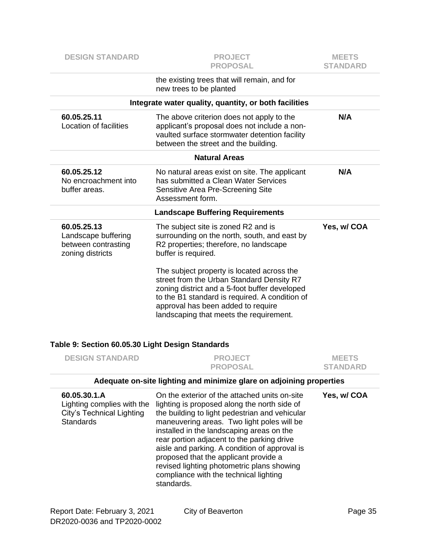| <b>DESIGN STANDARD</b>                                                                             | <b>PROJECT</b><br><b>PROPOSAL</b>                                                                                                                                                                                                                                                                                                                                                                                                                                          | <b>MEETS</b><br><b>STANDARD</b> |
|----------------------------------------------------------------------------------------------------|----------------------------------------------------------------------------------------------------------------------------------------------------------------------------------------------------------------------------------------------------------------------------------------------------------------------------------------------------------------------------------------------------------------------------------------------------------------------------|---------------------------------|
|                                                                                                    | the existing trees that will remain, and for<br>new trees to be planted                                                                                                                                                                                                                                                                                                                                                                                                    |                                 |
|                                                                                                    | Integrate water quality, quantity, or both facilities                                                                                                                                                                                                                                                                                                                                                                                                                      |                                 |
| 60.05.25.11<br><b>Location of facilities</b>                                                       | The above criterion does not apply to the<br>applicant's proposal does not include a non-<br>vaulted surface stormwater detention facility<br>between the street and the building.                                                                                                                                                                                                                                                                                         | N/A                             |
|                                                                                                    | <b>Natural Areas</b>                                                                                                                                                                                                                                                                                                                                                                                                                                                       |                                 |
| 60.05.25.12<br>No encroachment into<br>buffer areas.                                               | No natural areas exist on site. The applicant<br>has submitted a Clean Water Services<br>Sensitive Area Pre-Screening Site<br>Assessment form.                                                                                                                                                                                                                                                                                                                             | N/A                             |
|                                                                                                    | <b>Landscape Buffering Requirements</b>                                                                                                                                                                                                                                                                                                                                                                                                                                    |                                 |
| 60.05.25.13<br>Landscape buffering<br>between contrasting<br>zoning districts                      | The subject site is zoned R2 and is<br>surrounding on the north, south, and east by<br>R2 properties; therefore, no landscape<br>buffer is required.<br>The subject property is located across the<br>street from the Urban Standard Density R7<br>zoning district and a 5-foot buffer developed<br>to the B1 standard is required. A condition of<br>approval has been added to require                                                                                   | Yes, w/ COA                     |
| Table 9: Section 60.05.30 Light Design Standards                                                   | landscaping that meets the requirement.                                                                                                                                                                                                                                                                                                                                                                                                                                    |                                 |
| <b>DESIGN STANDARD</b>                                                                             | <b>PROJECT</b><br><b>PROPOSAL</b>                                                                                                                                                                                                                                                                                                                                                                                                                                          | <b>MEETS</b><br><b>STANDARD</b> |
|                                                                                                    | Adequate on-site lighting and minimize glare on adjoining properties                                                                                                                                                                                                                                                                                                                                                                                                       |                                 |
| 60.05.30.1.A<br>Lighting complies with the<br><b>City's Technical Lighting</b><br><b>Standards</b> | On the exterior of the attached units on-site<br>lighting is proposed along the north side of<br>the building to light pedestrian and vehicular<br>maneuvering areas. Two light poles will be<br>installed in the landscaping areas on the<br>rear portion adjacent to the parking drive<br>aisle and parking. A condition of approval is<br>proposed that the applicant provide a<br>revised lighting photometric plans showing<br>compliance with the technical lighting | Yes, w/ COA                     |

standards.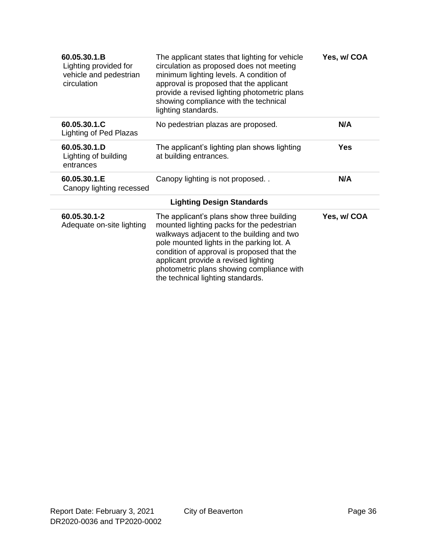| 60.05.30.1.B<br>Lighting provided for<br>vehicle and pedestrian<br>circulation | The applicant states that lighting for vehicle<br>circulation as proposed does not meeting<br>minimum lighting levels. A condition of<br>approval is proposed that the applicant<br>provide a revised lighting photometric plans<br>showing compliance with the technical<br>lighting standards.                                                         | Yes, w/ COA |
|--------------------------------------------------------------------------------|----------------------------------------------------------------------------------------------------------------------------------------------------------------------------------------------------------------------------------------------------------------------------------------------------------------------------------------------------------|-------------|
| 60.05.30.1.C<br>Lighting of Ped Plazas                                         | No pedestrian plazas are proposed.                                                                                                                                                                                                                                                                                                                       | N/A         |
| 60.05.30.1.D<br>Lighting of building<br>entrances                              | The applicant's lighting plan shows lighting<br>at building entrances.                                                                                                                                                                                                                                                                                   | Yes         |
| 60.05.30.1.E<br>Canopy lighting recessed                                       | Canopy lighting is not proposed                                                                                                                                                                                                                                                                                                                          | N/A         |
|                                                                                | <b>Lighting Design Standards</b>                                                                                                                                                                                                                                                                                                                         |             |
| 60.05.30.1-2<br>Adequate on-site lighting                                      | The applicant's plans show three building<br>mounted lighting packs for the pedestrian<br>walkways adjacent to the building and two<br>pole mounted lights in the parking lot. A<br>condition of approval is proposed that the<br>applicant provide a revised lighting<br>photometric plans showing compliance with<br>the technical lighting standards. | Yes, w/ COA |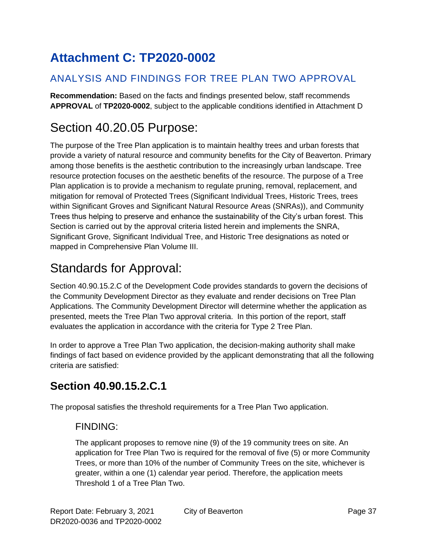# **Attachment C: TP2020-0002**

### ANALYSIS AND FINDINGS FOR TREE PLAN TWO APPROVAL

**Recommendation:** Based on the facts and findings presented below, staff recommends **APPROVAL** of **TP2020-0002**, subject to the applicable conditions identified in Attachment D

# Section 40.20.05 Purpose:

The purpose of the Tree Plan application is to maintain healthy trees and urban forests that provide a variety of natural resource and community benefits for the City of Beaverton. Primary among those benefits is the aesthetic contribution to the increasingly urban landscape. Tree resource protection focuses on the aesthetic benefits of the resource. The purpose of a Tree Plan application is to provide a mechanism to regulate pruning, removal, replacement, and mitigation for removal of Protected Trees (Significant Individual Trees, Historic Trees, trees within Significant Groves and Significant Natural Resource Areas (SNRAs)), and Community Trees thus helping to preserve and enhance the sustainability of the City's urban forest. This Section is carried out by the approval criteria listed herein and implements the SNRA, Significant Grove, Significant Individual Tree, and Historic Tree designations as noted or mapped in Comprehensive Plan Volume III.

# Standards for Approval:

Section 40.90.15.2.C of the Development Code provides standards to govern the decisions of the Community Development Director as they evaluate and render decisions on Tree Plan Applications. The Community Development Director will determine whether the application as presented, meets the Tree Plan Two approval criteria. In this portion of the report, staff evaluates the application in accordance with the criteria for Type 2 Tree Plan.

In order to approve a Tree Plan Two application, the decision-making authority shall make findings of fact based on evidence provided by the applicant demonstrating that all the following criteria are satisfied:

## **Section 40.90.15.2.C.1**

The proposal satisfies the threshold requirements for a Tree Plan Two application.

### FINDING:

The applicant proposes to remove nine (9) of the 19 community trees on site. An application for Tree Plan Two is required for the removal of five (5) or more Community Trees, or more than 10% of the number of Community Trees on the site, whichever is greater, within a one (1) calendar year period. Therefore, the application meets Threshold 1 of a Tree Plan Two.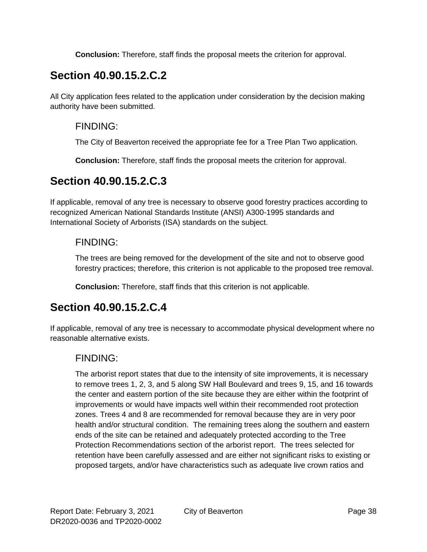**Conclusion:** Therefore, staff finds the proposal meets the criterion for approval.

## **Section 40.90.15.2.C.2**

All City application fees related to the application under consideration by the decision making authority have been submitted.

#### FINDING:

The City of Beaverton received the appropriate fee for a Tree Plan Two application.

**Conclusion:** Therefore, staff finds the proposal meets the criterion for approval.

## **Section 40.90.15.2.C.3**

If applicable, removal of any tree is necessary to observe good forestry practices according to recognized American National Standards Institute (ANSI) A300-1995 standards and International Society of Arborists (ISA) standards on the subject.

### FINDING:

The trees are being removed for the development of the site and not to observe good forestry practices; therefore, this criterion is not applicable to the proposed tree removal.

**Conclusion:** Therefore, staff finds that this criterion is not applicable.

### **Section 40.90.15.2.C.4**

If applicable, removal of any tree is necessary to accommodate physical development where no reasonable alternative exists.

### FINDING:

The arborist report states that due to the intensity of site improvements, it is necessary to remove trees 1, 2, 3, and 5 along SW Hall Boulevard and trees 9, 15, and 16 towards the center and eastern portion of the site because they are either within the footprint of improvements or would have impacts well within their recommended root protection zones. Trees 4 and 8 are recommended for removal because they are in very poor health and/or structural condition. The remaining trees along the southern and eastern ends of the site can be retained and adequately protected according to the Tree Protection Recommendations section of the arborist report. The trees selected for retention have been carefully assessed and are either not significant risks to existing or proposed targets, and/or have characteristics such as adequate live crown ratios and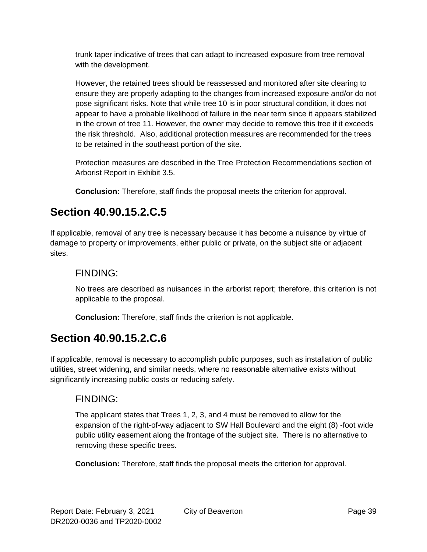trunk taper indicative of trees that can adapt to increased exposure from tree removal with the development.

However, the retained trees should be reassessed and monitored after site clearing to ensure they are properly adapting to the changes from increased exposure and/or do not pose significant risks. Note that while tree 10 is in poor structural condition, it does not appear to have a probable likelihood of failure in the near term since it appears stabilized in the crown of tree 11. However, the owner may decide to remove this tree if it exceeds the risk threshold. Also, additional protection measures are recommended for the trees to be retained in the southeast portion of the site.

Protection measures are described in the Tree Protection Recommendations section of Arborist Report in Exhibit 3.5.

**Conclusion:** Therefore, staff finds the proposal meets the criterion for approval.

## **Section 40.90.15.2.C.5**

If applicable, removal of any tree is necessary because it has become a nuisance by virtue of damage to property or improvements, either public or private, on the subject site or adjacent sites.

#### FINDING:

No trees are described as nuisances in the arborist report; therefore, this criterion is not applicable to the proposal.

**Conclusion:** Therefore, staff finds the criterion is not applicable.

### **Section 40.90.15.2.C.6**

If applicable, removal is necessary to accomplish public purposes, such as installation of public utilities, street widening, and similar needs, where no reasonable alternative exists without significantly increasing public costs or reducing safety.

### FINDING:

The applicant states that Trees 1, 2, 3, and 4 must be removed to allow for the expansion of the right-of-way adjacent to SW Hall Boulevard and the eight (8) -foot wide public utility easement along the frontage of the subject site. There is no alternative to removing these specific trees.

**Conclusion:** Therefore, staff finds the proposal meets the criterion for approval.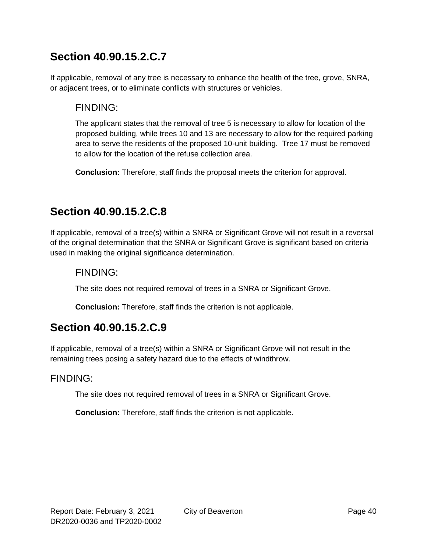## **Section 40.90.15.2.C.7**

If applicable, removal of any tree is necessary to enhance the health of the tree, grove, SNRA, or adjacent trees, or to eliminate conflicts with structures or vehicles.

#### FINDING:

The applicant states that the removal of tree 5 is necessary to allow for location of the proposed building, while trees 10 and 13 are necessary to allow for the required parking area to serve the residents of the proposed 10-unit building. Tree 17 must be removed to allow for the location of the refuse collection area.

**Conclusion:** Therefore, staff finds the proposal meets the criterion for approval.

### **Section 40.90.15.2.C.8**

If applicable, removal of a tree(s) within a SNRA or Significant Grove will not result in a reversal of the original determination that the SNRA or Significant Grove is significant based on criteria used in making the original significance determination.

### FINDING:

The site does not required removal of trees in a SNRA or Significant Grove.

**Conclusion:** Therefore, staff finds the criterion is not applicable.

### **Section 40.90.15.2.C.9**

If applicable, removal of a tree(s) within a SNRA or Significant Grove will not result in the remaining trees posing a safety hazard due to the effects of windthrow.

#### FINDING:

The site does not required removal of trees in a SNRA or Significant Grove.

**Conclusion:** Therefore, staff finds the criterion is not applicable.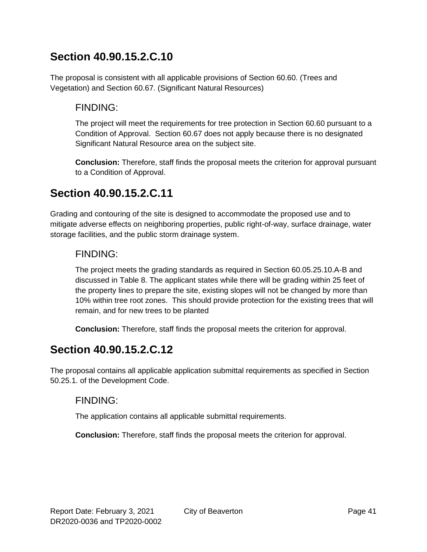### **Section 40.90.15.2.C.10**

The proposal is consistent with all applicable provisions of Section 60.60. (Trees and Vegetation) and Section 60.67. (Significant Natural Resources)

#### FINDING:

The project will meet the requirements for tree protection in Section 60.60 pursuant to a Condition of Approval. Section 60.67 does not apply because there is no designated Significant Natural Resource area on the subject site.

**Conclusion:** Therefore, staff finds the proposal meets the criterion for approval pursuant to a Condition of Approval.

### **Section 40.90.15.2.C.11**

Grading and contouring of the site is designed to accommodate the proposed use and to mitigate adverse effects on neighboring properties, public right-of-way, surface drainage, water storage facilities, and the public storm drainage system.

#### FINDING:

The project meets the grading standards as required in Section 60.05.25.10.A-B and discussed in Table 8. The applicant states while there will be grading within 25 feet of the property lines to prepare the site, existing slopes will not be changed by more than 10% within tree root zones. This should provide protection for the existing trees that will remain, and for new trees to be planted

**Conclusion:** Therefore, staff finds the proposal meets the criterion for approval.

### **Section 40.90.15.2.C.12**

The proposal contains all applicable application submittal requirements as specified in Section 50.25.1. of the Development Code.

#### FINDING:

The application contains all applicable submittal requirements.

**Conclusion:** Therefore, staff finds the proposal meets the criterion for approval.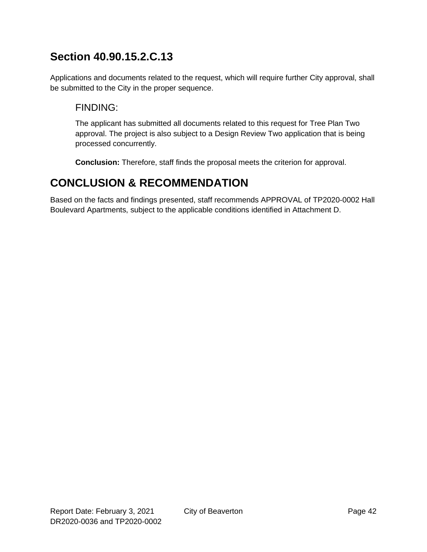## **Section 40.90.15.2.C.13**

Applications and documents related to the request, which will require further City approval, shall be submitted to the City in the proper sequence.

### FINDING:

The applicant has submitted all documents related to this request for Tree Plan Two approval. The project is also subject to a Design Review Two application that is being processed concurrently.

**Conclusion:** Therefore, staff finds the proposal meets the criterion for approval.

## **CONCLUSION & RECOMMENDATION**

Based on the facts and findings presented, staff recommends APPROVAL of TP2020-0002 Hall Boulevard Apartments, subject to the applicable conditions identified in Attachment D.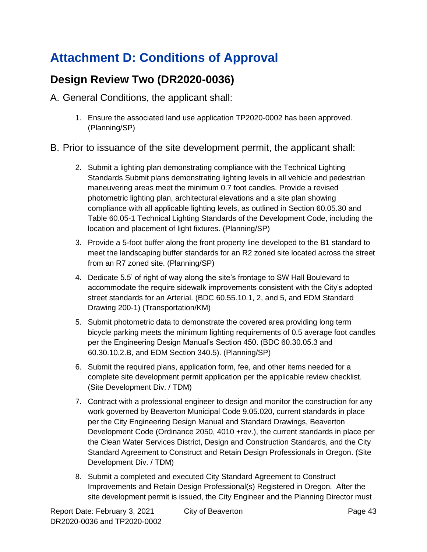# **Attachment D: Conditions of Approval**

## **Design Review Two (DR2020-0036)**

A. General Conditions, the applicant shall:

- 1. Ensure the associated land use application TP2020-0002 has been approved. (Planning/SP)
- B. Prior to issuance of the site development permit, the applicant shall:
	- 2. Submit a lighting plan demonstrating compliance with the Technical Lighting Standards Submit plans demonstrating lighting levels in all vehicle and pedestrian maneuvering areas meet the minimum 0.7 foot candles. Provide a revised photometric lighting plan, architectural elevations and a site plan showing compliance with all applicable lighting levels, as outlined in Section 60.05.30 and Table 60.05-1 Technical Lighting Standards of the Development Code, including the location and placement of light fixtures. (Planning/SP)
	- 3. Provide a 5-foot buffer along the front property line developed to the B1 standard to meet the landscaping buffer standards for an R2 zoned site located across the street from an R7 zoned site. (Planning/SP)
	- 4. Dedicate 5.5' of right of way along the site's frontage to SW Hall Boulevard to accommodate the require sidewalk improvements consistent with the City's adopted street standards for an Arterial. (BDC 60.55.10.1, 2, and 5, and EDM Standard Drawing 200-1) (Transportation/KM)
	- 5. Submit photometric data to demonstrate the covered area providing long term bicycle parking meets the minimum lighting requirements of 0.5 average foot candles per the Engineering Design Manual's Section 450. (BDC 60.30.05.3 and 60.30.10.2.B, and EDM Section 340.5). (Planning/SP)
	- 6. Submit the required plans, application form, fee, and other items needed for a complete site development permit application per the applicable review checklist. (Site Development Div. / TDM)
	- 7. Contract with a professional engineer to design and monitor the construction for any work governed by Beaverton Municipal Code 9.05.020, current standards in place per the City Engineering Design Manual and Standard Drawings, Beaverton Development Code (Ordinance 2050, 4010 +rev.), the current standards in place per the Clean Water Services District, Design and Construction Standards, and the City Standard Agreement to Construct and Retain Design Professionals in Oregon. (Site Development Div. / TDM)
	- 8. Submit a completed and executed City Standard Agreement to Construct Improvements and Retain Design Professional(s) Registered in Oregon. After the site development permit is issued, the City Engineer and the Planning Director must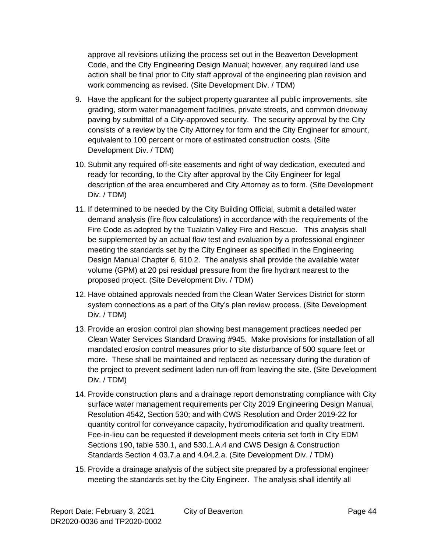approve all revisions utilizing the process set out in the Beaverton Development Code, and the City Engineering Design Manual; however, any required land use action shall be final prior to City staff approval of the engineering plan revision and work commencing as revised. (Site Development Div. / TDM)

- 9. Have the applicant for the subject property guarantee all public improvements, site grading, storm water management facilities, private streets, and common driveway paving by submittal of a City-approved security. The security approval by the City consists of a review by the City Attorney for form and the City Engineer for amount, equivalent to 100 percent or more of estimated construction costs. (Site Development Div. / TDM)
- 10. Submit any required off-site easements and right of way dedication, executed and ready for recording, to the City after approval by the City Engineer for legal description of the area encumbered and City Attorney as to form. (Site Development Div. / TDM)
- 11. If determined to be needed by the City Building Official, submit a detailed water demand analysis (fire flow calculations) in accordance with the requirements of the Fire Code as adopted by the Tualatin Valley Fire and Rescue. This analysis shall be supplemented by an actual flow test and evaluation by a professional engineer meeting the standards set by the City Engineer as specified in the Engineering Design Manual Chapter 6, 610.2. The analysis shall provide the available water volume (GPM) at 20 psi residual pressure from the fire hydrant nearest to the proposed project. (Site Development Div. / TDM)
- 12. Have obtained approvals needed from the Clean Water Services District for storm system connections as a part of the City's plan review process. (Site Development Div. / TDM)
- 13. Provide an erosion control plan showing best management practices needed per Clean Water Services Standard Drawing #945. Make provisions for installation of all mandated erosion control measures prior to site disturbance of 500 square feet or more. These shall be maintained and replaced as necessary during the duration of the project to prevent sediment laden run-off from leaving the site. (Site Development Div. / TDM)
- 14. Provide construction plans and a drainage report demonstrating compliance with City surface water management requirements per City 2019 Engineering Design Manual, Resolution 4542, Section 530; and with CWS Resolution and Order 2019-22 for quantity control for conveyance capacity, hydromodification and quality treatment. Fee-in-lieu can be requested if development meets criteria set forth in City EDM Sections 190, table 530.1, and 530.1.A.4 and CWS Design & Construction Standards Section 4.03.7.a and 4.04.2.a. (Site Development Div. / TDM)
- 15. Provide a drainage analysis of the subject site prepared by a professional engineer meeting the standards set by the City Engineer. The analysis shall identify all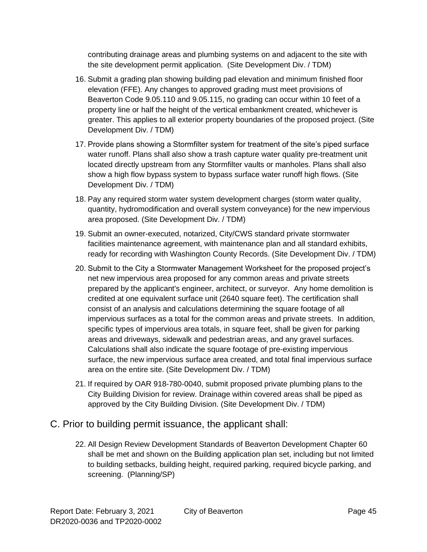contributing drainage areas and plumbing systems on and adjacent to the site with the site development permit application. (Site Development Div. / TDM)

- 16. Submit a grading plan showing building pad elevation and minimum finished floor elevation (FFE). Any changes to approved grading must meet provisions of Beaverton Code 9.05.110 and 9.05.115, no grading can occur within 10 feet of a property line or half the height of the vertical embankment created, whichever is greater. This applies to all exterior property boundaries of the proposed project. (Site Development Div. / TDM)
- 17. Provide plans showing a Stormfilter system for treatment of the site's piped surface water runoff. Plans shall also show a trash capture water quality pre-treatment unit located directly upstream from any Stormfilter vaults or manholes. Plans shall also show a high flow bypass system to bypass surface water runoff high flows. (Site Development Div. / TDM)
- 18. Pay any required storm water system development charges (storm water quality, quantity, hydromodification and overall system conveyance) for the new impervious area proposed. (Site Development Div. / TDM)
- 19. Submit an owner-executed, notarized, City/CWS standard private stormwater facilities maintenance agreement, with maintenance plan and all standard exhibits, ready for recording with Washington County Records. (Site Development Div. / TDM)
- 20. Submit to the City a Stormwater Management Worksheet for the proposed project's net new impervious area proposed for any common areas and private streets prepared by the applicant's engineer, architect, or surveyor. Any home demolition is credited at one equivalent surface unit (2640 square feet). The certification shall consist of an analysis and calculations determining the square footage of all impervious surfaces as a total for the common areas and private streets. In addition, specific types of impervious area totals, in square feet, shall be given for parking areas and driveways, sidewalk and pedestrian areas, and any gravel surfaces. Calculations shall also indicate the square footage of pre-existing impervious surface, the new impervious surface area created, and total final impervious surface area on the entire site. (Site Development Div. / TDM)
- 21. If required by OAR 918-780-0040, submit proposed private plumbing plans to the City Building Division for review. Drainage within covered areas shall be piped as approved by the City Building Division. (Site Development Div. / TDM)
- C. Prior to building permit issuance, the applicant shall:
	- 22. All Design Review Development Standards of Beaverton Development Chapter 60 shall be met and shown on the Building application plan set, including but not limited to building setbacks, building height, required parking, required bicycle parking, and screening. (Planning/SP)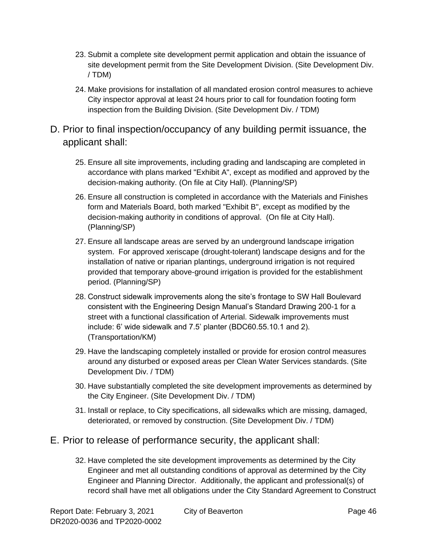- 23. Submit a complete site development permit application and obtain the issuance of site development permit from the Site Development Division. (Site Development Div. / TDM)
- 24. Make provisions for installation of all mandated erosion control measures to achieve City inspector approval at least 24 hours prior to call for foundation footing form inspection from the Building Division. (Site Development Div. / TDM)
- D. Prior to final inspection/occupancy of any building permit issuance, the applicant shall:
	- 25. Ensure all site improvements, including grading and landscaping are completed in accordance with plans marked "Exhibit A", except as modified and approved by the decision-making authority. (On file at City Hall). (Planning/SP)
	- 26. Ensure all construction is completed in accordance with the Materials and Finishes form and Materials Board, both marked "Exhibit B", except as modified by the decision-making authority in conditions of approval. (On file at City Hall). (Planning/SP)
	- 27. Ensure all landscape areas are served by an underground landscape irrigation system. For approved xeriscape (drought-tolerant) landscape designs and for the installation of native or riparian plantings, underground irrigation is not required provided that temporary above-ground irrigation is provided for the establishment period. (Planning/SP)
	- 28. Construct sidewalk improvements along the site's frontage to SW Hall Boulevard consistent with the Engineering Design Manual's Standard Drawing 200-1 for a street with a functional classification of Arterial. Sidewalk improvements must include: 6' wide sidewalk and 7.5' planter (BDC60.55.10.1 and 2). (Transportation/KM)
	- 29. Have the landscaping completely installed or provide for erosion control measures around any disturbed or exposed areas per Clean Water Services standards. (Site Development Div. / TDM)
	- 30. Have substantially completed the site development improvements as determined by the City Engineer. (Site Development Div. / TDM)
	- 31. Install or replace, to City specifications, all sidewalks which are missing, damaged, deteriorated, or removed by construction. (Site Development Div. / TDM)

#### E. Prior to release of performance security, the applicant shall:

32. Have completed the site development improvements as determined by the City Engineer and met all outstanding conditions of approval as determined by the City Engineer and Planning Director. Additionally, the applicant and professional(s) of record shall have met all obligations under the City Standard Agreement to Construct